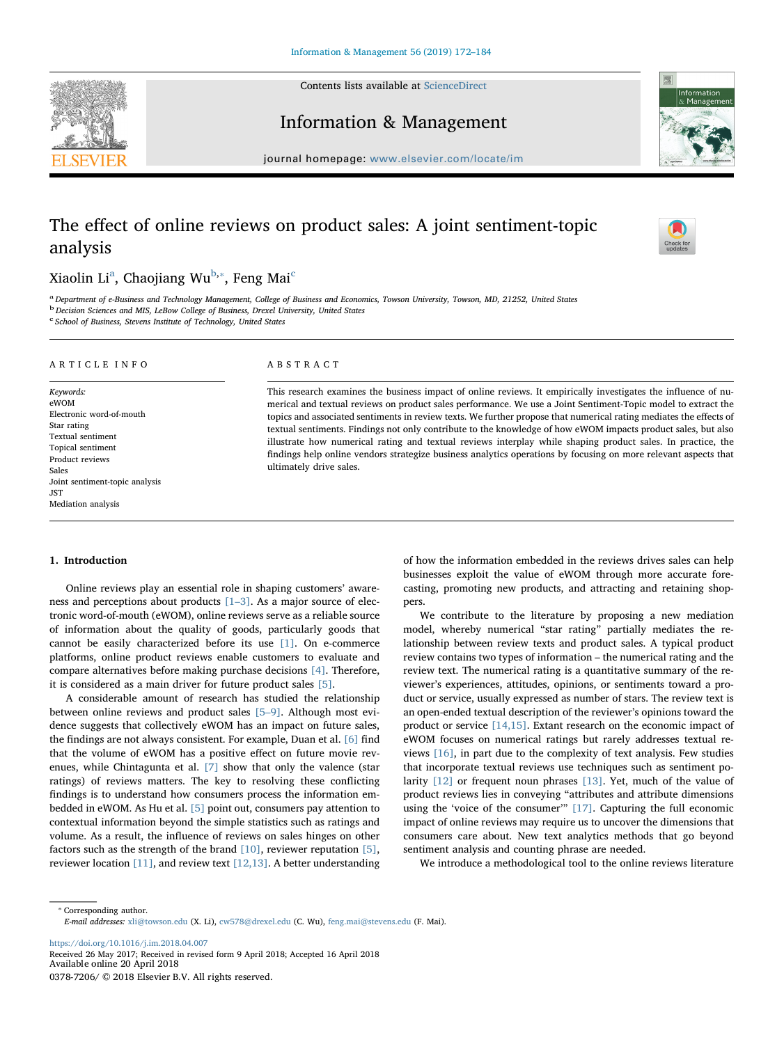Contents lists available at [ScienceDirect](http://www.sciencedirect.com/science/journal/03787206)

Information & Management

journal homepage: [www.elsevier.com/locate/im](https://www.elsevier.com/locate/im)

# The effect of online reviews on product sales: A joint sentiment-topic analysis

## Xi[a](#page-0-0)olin Li<sup>a</sup>, Chaojiang Wu<sup>[b,](#page-0-1)</sup>\*, Feng Mai<sup>[c](#page-0-3)</sup>

<span id="page-0-1"></span><span id="page-0-0"></span>a Department of e-Business and Technology Management, College of Business and Economics, Towson University, Towson, MD, 21252, United States b Decision Sciences and MIS, LeBow College of Business, Drexel University, United States

ABSTRACT

ultimately drive sales.

<span id="page-0-3"></span><sup>c</sup> School of Business, Stevens Institute of Technology, United States

### ARTICLE INFO

Keywords: eWOM Electronic word-of-mouth Star rating Textual sentiment Topical sentiment Product reviews Sales Joint sentiment-topic analysis JST Mediation analysis

## 1. Introduction

Online reviews play an essential role in shaping customers' awareness and perceptions about products  $[1-3]$  $[1-3]$ . As a major source of electronic word-of-mouth (eWOM), online reviews serve as a reliable source of information about the quality of goods, particularly goods that cannot be easily characterized before its use [\[1\].](#page-10-0) On e-commerce platforms, online product reviews enable customers to evaluate and compare alternatives before making purchase decisions [\[4\]](#page-10-1). Therefore, it is considered as a main driver for future product sales [\[5\].](#page-10-2)

A considerable amount of research has studied the relationship between online reviews and product sales [5–[9\].](#page-10-2) Although most evidence suggests that collectively eWOM has an impact on future sales, the findings are not always consistent. For example, Duan et al. [\[6\]](#page-11-0) find that the volume of eWOM has a positive effect on future movie revenues, while Chintagunta et al. [\[7\]](#page-11-1) show that only the valence (star ratings) of reviews matters. The key to resolving these conflicting findings is to understand how consumers process the information embedded in eWOM. As Hu et al. [\[5\]](#page-10-2) point out, consumers pay attention to contextual information beyond the simple statistics such as ratings and volume. As a result, the influence of reviews on sales hinges on other factors such as the strength of the brand [\[10\]](#page-11-2), reviewer reputation [\[5\]](#page-10-2), reviewer location [\[11\],](#page-11-3) and review text [\[12,13\].](#page-11-4) A better understanding

of how the information embedded in the reviews drives sales can help businesses exploit the value of eWOM through more accurate forecasting, promoting new products, and attracting and retaining shoppers.

This research examines the business impact of online reviews. It empirically investigates the influence of numerical and textual reviews on product sales performance. We use a Joint Sentiment-Topic model to extract the topics and associated sentiments in review texts. We further propose that numerical rating mediates the effects of textual sentiments. Findings not only contribute to the knowledge of how eWOM impacts product sales, but also illustrate how numerical rating and textual reviews interplay while shaping product sales. In practice, the findings help online vendors strategize business analytics operations by focusing on more relevant aspects that

> We contribute to the literature by proposing a new mediation model, whereby numerical "star rating" partially mediates the relationship between review texts and product sales. A typical product review contains two types of information – the numerical rating and the review text. The numerical rating is a quantitative summary of the reviewer's experiences, attitudes, opinions, or sentiments toward a product or service, usually expressed as number of stars. The review text is an open-ended textual description of the reviewer's opinions toward the product or service [\[14,15\]](#page-11-5). Extant research on the economic impact of eWOM focuses on numerical ratings but rarely addresses textual reviews [\[16\],](#page-11-6) in part due to the complexity of text analysis. Few studies that incorporate textual reviews use techniques such as sentiment polarity [\[12\]](#page-11-4) or frequent noun phrases [\[13\]](#page-11-7). Yet, much of the value of product reviews lies in conveying "attributes and attribute dimensions using the 'voice of the consumer'" [\[17\]](#page-11-8). Capturing the full economic impact of online reviews may require us to uncover the dimensions that consumers care about. New text analytics methods that go beyond sentiment analysis and counting phrase are needed.

We introduce a methodological tool to the online reviews literature

<span id="page-0-2"></span>⁎ Corresponding author. E-mail addresses: [xli@towson.edu](mailto:xli@towson.edu) (X. Li), [cw578@drexel.edu](mailto:cw578@drexel.edu) (C. Wu), [feng.mai@stevens.edu](mailto:feng.mai@stevens.edu) (F. Mai).

<https://doi.org/10.1016/j.im.2018.04.007>

Received 26 May 2017; Received in revised form 9 April 2018; Accepted 16 April 2018 Available online 20 April 2018

0378-7206/ © 2018 Elsevier B.V. All rights reserved.





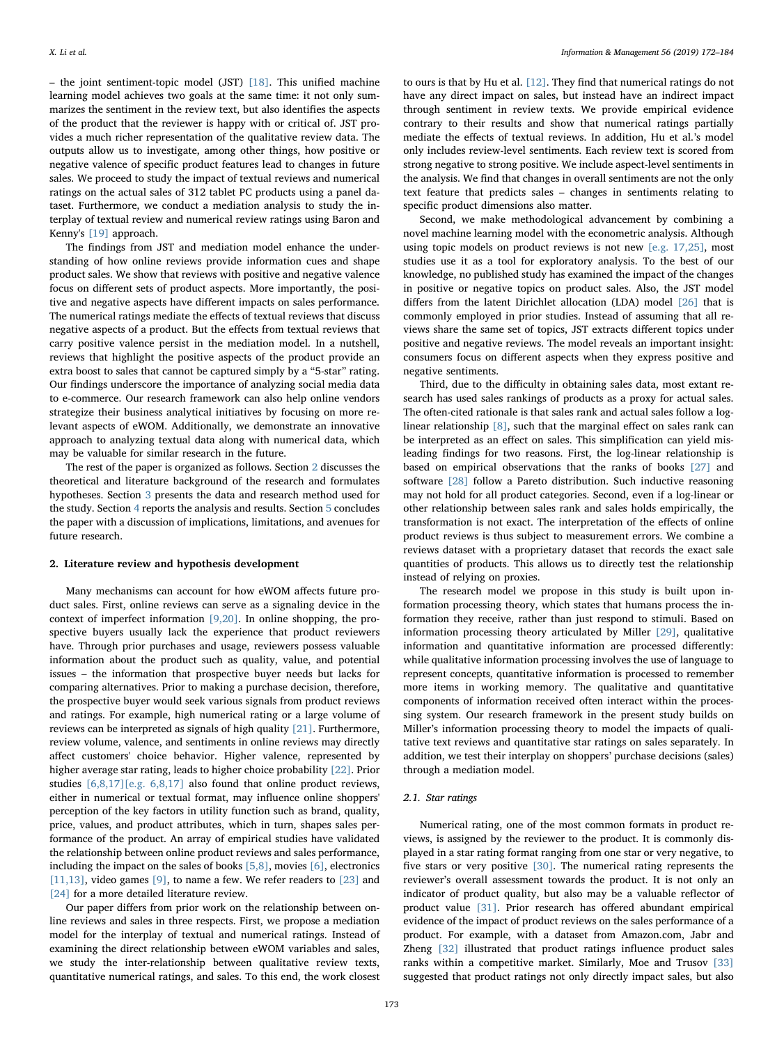– the joint sentiment-topic model (JST) [\[18\].](#page-11-9) This unified machine learning model achieves two goals at the same time: it not only summarizes the sentiment in the review text, but also identifies the aspects of the product that the reviewer is happy with or critical of. JST provides a much richer representation of the qualitative review data. The outputs allow us to investigate, among other things, how positive or negative valence of specific product features lead to changes in future sales. We proceed to study the impact of textual reviews and numerical ratings on the actual sales of 312 tablet PC products using a panel dataset. Furthermore, we conduct a mediation analysis to study the interplay of textual review and numerical review ratings using Baron and Kenny's [\[19\]](#page-11-10) approach.

The findings from JST and mediation model enhance the understanding of how online reviews provide information cues and shape product sales. We show that reviews with positive and negative valence focus on different sets of product aspects. More importantly, the positive and negative aspects have different impacts on sales performance. The numerical ratings mediate the effects of textual reviews that discuss negative aspects of a product. But the effects from textual reviews that carry positive valence persist in the mediation model. In a nutshell, reviews that highlight the positive aspects of the product provide an extra boost to sales that cannot be captured simply by a "5-star" rating. Our findings underscore the importance of analyzing social media data to e-commerce. Our research framework can also help online vendors strategize their business analytical initiatives by focusing on more relevant aspects of eWOM. Additionally, we demonstrate an innovative approach to analyzing textual data along with numerical data, which may be valuable for similar research in the future.

The rest of the paper is organized as follows. Section [2](#page-1-0) discusses the theoretical and literature background of the research and formulates hypotheses. Section [3](#page-3-0) presents the data and research method used for the study. Section [4](#page-5-0) reports the analysis and results. Section [5](#page-8-0) concludes the paper with a discussion of implications, limitations, and avenues for future research.

## <span id="page-1-0"></span>2. Literature review and hypothesis development

Many mechanisms can account for how eWOM affects future product sales. First, online reviews can serve as a signaling device in the context of imperfect information [\[9,20\]](#page-11-11). In online shopping, the prospective buyers usually lack the experience that product reviewers have. Through prior purchases and usage, reviewers possess valuable information about the product such as quality, value, and potential issues – the information that prospective buyer needs but lacks for comparing alternatives. Prior to making a purchase decision, therefore, the prospective buyer would seek various signals from product reviews and ratings. For example, high numerical rating or a large volume of reviews can be interpreted as signals of high quality [\[21\].](#page-11-12) Furthermore, review volume, valence, and sentiments in online reviews may directly affect customers' choice behavior. Higher valence, represented by higher average star rating, leads to higher choice probability [\[22\].](#page-11-13) Prior studies [\[6,8,17\]\[e.g. 6,8,17\]](#page-11-0) also found that online product reviews, either in numerical or textual format, may influence online shoppers' perception of the key factors in utility function such as brand, quality, price, values, and product attributes, which in turn, shapes sales performance of the product. An array of empirical studies have validated the relationship between online product reviews and sales performance, including the impact on the sales of books [\[5,8\]](#page-10-2), movies [\[6\],](#page-11-0) electronics  $[11,13]$ , video games  $[9]$ , to name a few. We refer readers to  $[23]$  and [\[24\]](#page-11-15) for a more detailed literature review.

Our paper differs from prior work on the relationship between online reviews and sales in three respects. First, we propose a mediation model for the interplay of textual and numerical ratings. Instead of examining the direct relationship between eWOM variables and sales, we study the inter-relationship between qualitative review texts, quantitative numerical ratings, and sales. To this end, the work closest

to ours is that by Hu et al. [\[12\]](#page-11-4). They find that numerical ratings do not have any direct impact on sales, but instead have an indirect impact through sentiment in review texts. We provide empirical evidence contrary to their results and show that numerical ratings partially mediate the effects of textual reviews. In addition, Hu et al.'s model only includes review-level sentiments. Each review text is scored from strong negative to strong positive. We include aspect-level sentiments in the analysis. We find that changes in overall sentiments are not the only text feature that predicts sales – changes in sentiments relating to specific product dimensions also matter.

Second, we make methodological advancement by combining a novel machine learning model with the econometric analysis. Although using topic models on product reviews is not new [\[e.g. 17,25\]](#page-11-8), most studies use it as a tool for exploratory analysis. To the best of our knowledge, no published study has examined the impact of the changes in positive or negative topics on product sales. Also, the JST model differs from the latent Dirichlet allocation (LDA) model [\[26\]](#page-11-16) that is commonly employed in prior studies. Instead of assuming that all reviews share the same set of topics, JST extracts different topics under positive and negative reviews. The model reveals an important insight: consumers focus on different aspects when they express positive and negative sentiments.

Third, due to the difficulty in obtaining sales data, most extant research has used sales rankings of products as a proxy for actual sales. The often-cited rationale is that sales rank and actual sales follow a loglinear relationship [\[8\],](#page-11-17) such that the marginal effect on sales rank can be interpreted as an effect on sales. This simplification can yield misleading findings for two reasons. First, the log-linear relationship is based on empirical observations that the ranks of books [\[27\]](#page-11-18) and software [\[28\]](#page-11-19) follow a Pareto distribution. Such inductive reasoning may not hold for all product categories. Second, even if a log-linear or other relationship between sales rank and sales holds empirically, the transformation is not exact. The interpretation of the effects of online product reviews is thus subject to measurement errors. We combine a reviews dataset with a proprietary dataset that records the exact sale quantities of products. This allows us to directly test the relationship instead of relying on proxies.

The research model we propose in this study is built upon information processing theory, which states that humans process the information they receive, rather than just respond to stimuli. Based on information processing theory articulated by Miller [\[29\],](#page-11-20) qualitative information and quantitative information are processed differently: while qualitative information processing involves the use of language to represent concepts, quantitative information is processed to remember more items in working memory. The qualitative and quantitative components of information received often interact within the processing system. Our research framework in the present study builds on Miller's information processing theory to model the impacts of qualitative text reviews and quantitative star ratings on sales separately. In addition, we test their interplay on shoppers' purchase decisions (sales) through a mediation model.

## 2.1. Star ratings

Numerical rating, one of the most common formats in product reviews, is assigned by the reviewer to the product. It is commonly displayed in a star rating format ranging from one star or very negative, to five stars or very positive [\[30\]](#page-11-21). The numerical rating represents the reviewer's overall assessment towards the product. It is not only an indicator of product quality, but also may be a valuable reflector of product value [\[31\].](#page-11-22) Prior research has offered abundant empirical evidence of the impact of product reviews on the sales performance of a product. For example, with a dataset from Amazon.com, Jabr and Zheng [\[32\]](#page-11-23) illustrated that product ratings influence product sales ranks within a competitive market. Similarly, Moe and Trusov [\[33\]](#page-11-24) suggested that product ratings not only directly impact sales, but also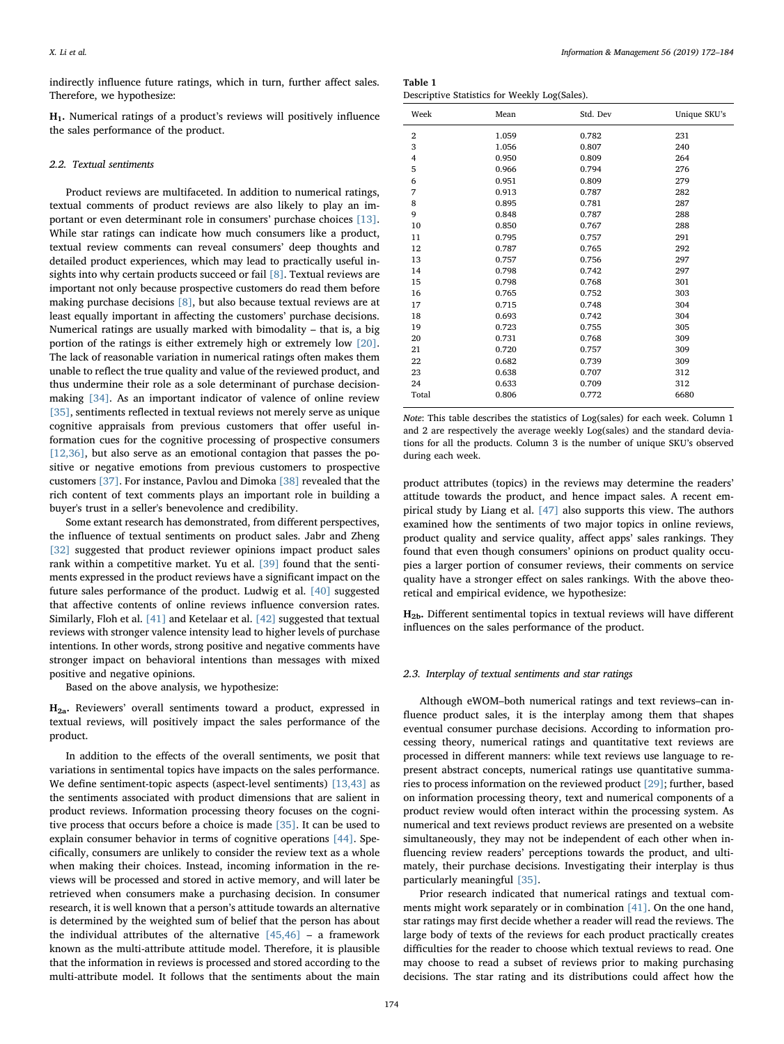indirectly influence future ratings, which in turn, further affect sales. Therefore, we hypothesize:

H1. Numerical ratings of a product's reviews will positively influence the sales performance of the product.

## 2.2. Textual sentiments

Product reviews are multifaceted. In addition to numerical ratings, textual comments of product reviews are also likely to play an important or even determinant role in consumers' purchase choices [\[13\]](#page-11-7). While star ratings can indicate how much consumers like a product, textual review comments can reveal consumers' deep thoughts and detailed product experiences, which may lead to practically useful insights into why certain products succeed or fail [\[8\].](#page-11-17) Textual reviews are important not only because prospective customers do read them before making purchase decisions [\[8\]](#page-11-17), but also because textual reviews are at least equally important in affecting the customers' purchase decisions. Numerical ratings are usually marked with bimodality – that is, a big portion of the ratings is either extremely high or extremely low [\[20\]](#page-11-25). The lack of reasonable variation in numerical ratings often makes them unable to reflect the true quality and value of the reviewed product, and thus undermine their role as a sole determinant of purchase decisionmaking [\[34\]](#page-11-26). As an important indicator of valence of online review [\[35\]](#page-11-27), sentiments reflected in textual reviews not merely serve as unique cognitive appraisals from previous customers that offer useful information cues for the cognitive processing of prospective consumers [\[12,36\],](#page-11-4) but also serve as an emotional contagion that passes the positive or negative emotions from previous customers to prospective customers [\[37\].](#page-11-28) For instance, Pavlou and Dimoka [\[38\]](#page-11-29) revealed that the rich content of text comments plays an important role in building a buyer's trust in a seller's benevolence and credibility.

Some extant research has demonstrated, from different perspectives, the influence of textual sentiments on product sales. Jabr and Zheng [\[32\]](#page-11-23) suggested that product reviewer opinions impact product sales rank within a competitive market. Yu et al. [\[39\]](#page-11-30) found that the sentiments expressed in the product reviews have a significant impact on the future sales performance of the product. Ludwig et al. [\[40\]](#page-11-31) suggested that affective contents of online reviews influence conversion rates. Similarly, Floh et al. [\[41\]](#page-11-32) and Ketelaar et al. [\[42\]](#page-11-33) suggested that textual reviews with stronger valence intensity lead to higher levels of purchase intentions. In other words, strong positive and negative comments have stronger impact on behavioral intentions than messages with mixed positive and negative opinions.

Based on the above analysis, we hypothesize:

H2a. Reviewers' overall sentiments toward a product, expressed in textual reviews, will positively impact the sales performance of the product.

In addition to the effects of the overall sentiments, we posit that variations in sentimental topics have impacts on the sales performance. We define sentiment-topic aspects (aspect-level sentiments) [\[13,43\]](#page-11-7) as the sentiments associated with product dimensions that are salient in product reviews. Information processing theory focuses on the cognitive process that occurs before a choice is made [\[35\]](#page-11-27). It can be used to explain consumer behavior in terms of cognitive operations [\[44\].](#page-11-34) Specifically, consumers are unlikely to consider the review text as a whole when making their choices. Instead, incoming information in the reviews will be processed and stored in active memory, and will later be retrieved when consumers make a purchasing decision. In consumer research, it is well known that a person's attitude towards an alternative is determined by the weighted sum of belief that the person has about the individual attributes of the alternative  $[45, 46]$  – a framework known as the multi-attribute attitude model. Therefore, it is plausible that the information in reviews is processed and stored according to the multi-attribute model. It follows that the sentiments about the main

X. Li et al. *Information & Management 56 (2019) 172–184*

<span id="page-2-0"></span>

| Table 1                                       |
|-----------------------------------------------|
| Descriptive Statistics for Weekly Log(Sales). |

| Week             | Mean  | Std. Dev | Unique SKU's |
|------------------|-------|----------|--------------|
| $\boldsymbol{2}$ | 1.059 | 0.782    | 231          |
| 3                | 1.056 | 0.807    | 240          |
| 4                | 0.950 | 0.809    | 264          |
| 5                | 0.966 | 0.794    | 276          |
| 6                | 0.951 | 0.809    | 279          |
| 7                | 0.913 | 0.787    | 282          |
| 8                | 0.895 | 0.781    | 287          |
| 9                | 0.848 | 0.787    | 288          |
| 10               | 0.850 | 0.767    | 288          |
| 11               | 0.795 | 0.757    | 291          |
| 12               | 0.787 | 0.765    | 292          |
| 13               | 0.757 | 0.756    | 297          |
| 14               | 0.798 | 0.742    | 297          |
| 15               | 0.798 | 0.768    | 301          |
| 16               | 0.765 | 0.752    | 303          |
| 17               | 0.715 | 0.748    | 304          |
| 18               | 0.693 | 0.742    | 304          |
| 19               | 0.723 | 0.755    | 305          |
| 20               | 0.731 | 0.768    | 309          |
| 21               | 0.720 | 0.757    | 309          |
| 22               | 0.682 | 0.739    | 309          |
| 23               | 0.638 | 0.707    | 312          |
| 24               | 0.633 | 0.709    | 312          |
| Total            | 0.806 | 0.772    | 6680         |
|                  |       |          |              |

Note: This table describes the statistics of Log(sales) for each week. Column 1 and 2 are respectively the average weekly Log(sales) and the standard deviations for all the products. Column 3 is the number of unique SKU's observed during each week.

product attributes (topics) in the reviews may determine the readers' attitude towards the product, and hence impact sales. A recent empirical study by Liang et al. [\[47\]](#page-11-36) also supports this view. The authors examined how the sentiments of two major topics in online reviews, product quality and service quality, affect apps' sales rankings. They found that even though consumers' opinions on product quality occupies a larger portion of consumer reviews, their comments on service quality have a stronger effect on sales rankings. With the above theoretical and empirical evidence, we hypothesize:

H2b. Different sentimental topics in textual reviews will have different influences on the sales performance of the product.

#### 2.3. Interplay of textual sentiments and star ratings

Although eWOM–both numerical ratings and text reviews–can influence product sales, it is the interplay among them that shapes eventual consumer purchase decisions. According to information processing theory, numerical ratings and quantitative text reviews are processed in different manners: while text reviews use language to represent abstract concepts, numerical ratings use quantitative summaries to process information on the reviewed product [\[29\];](#page-11-20) further, based on information processing theory, text and numerical components of a product review would often interact within the processing system. As numerical and text reviews product reviews are presented on a website simultaneously, they may not be independent of each other when influencing review readers' perceptions towards the product, and ultimately, their purchase decisions. Investigating their interplay is thus particularly meaningful [\[35\].](#page-11-27)

Prior research indicated that numerical ratings and textual comments might work separately or in combination [\[41\]](#page-11-32). On the one hand, star ratings may first decide whether a reader will read the reviews. The large body of texts of the reviews for each product practically creates difficulties for the reader to choose which textual reviews to read. One may choose to read a subset of reviews prior to making purchasing decisions. The star rating and its distributions could affect how the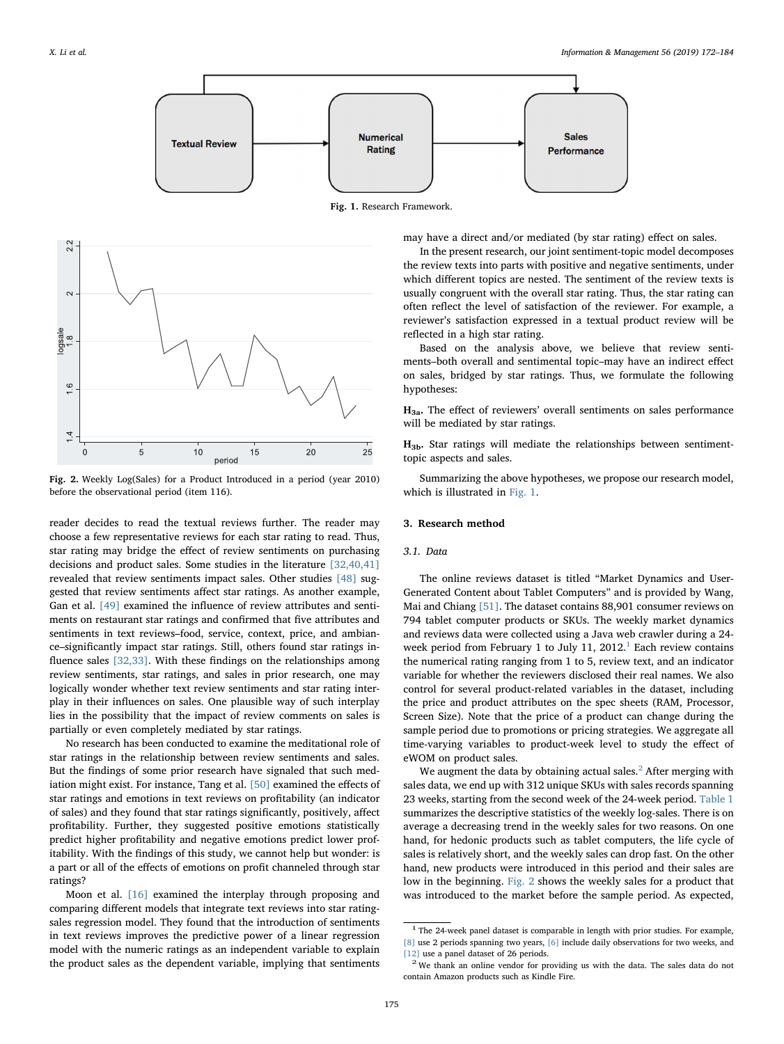<span id="page-3-1"></span>

Fig. 1. Research Framework.

<span id="page-3-4"></span>

Fig. 2. Weekly Log(Sales) for a Product Introduced in a period (year 2010) before the observational period (item 116).

reader decides to read the textual reviews further. The reader may choose a few representative reviews for each star rating to read. Thus, star rating may bridge the effect of review sentiments on purchasing decisions and product sales. Some studies in the literature [\[32,40,41\]](#page-11-23) revealed that review sentiments impact sales. Other studies [\[48\]](#page-11-37) suggested that review sentiments affect star ratings. As another example, Gan et al. [\[49\]](#page-11-38) examined the influence of review attributes and sentiments on restaurant star ratings and confirmed that five attributes and sentiments in text reviews–food, service, context, price, and ambiance–significantly impact star ratings. Still, others found star ratings influence sales [\[32,33\].](#page-11-23) With these findings on the relationships among review sentiments, star ratings, and sales in prior research, one may logically wonder whether text review sentiments and star rating interplay in their influences on sales. One plausible way of such interplay lies in the possibility that the impact of review comments on sales is partially or even completely mediated by star ratings.

No research has been conducted to examine the meditational role of star ratings in the relationship between review sentiments and sales. But the findings of some prior research have signaled that such mediation might exist. For instance, Tang et al. [\[50\]](#page-11-39) examined the effects of star ratings and emotions in text reviews on profitability (an indicator of sales) and they found that star ratings significantly, positively, affect profitability. Further, they suggested positive emotions statistically predict higher profitability and negative emotions predict lower profitability. With the findings of this study, we cannot help but wonder: is a part or all of the effects of emotions on profit channeled through star ratings?

Moon et al. [\[16\]](#page-11-6) examined the interplay through proposing and comparing different models that integrate text reviews into star ratingsales regression model. They found that the introduction of sentiments in text reviews improves the predictive power of a linear regression model with the numeric ratings as an independent variable to explain the product sales as the dependent variable, implying that sentiments

may have a direct and/or mediated (by star rating) effect on sales.

In the present research, our joint sentiment-topic model decomposes the review texts into parts with positive and negative sentiments, under which different topics are nested. The sentiment of the review texts is usually congruent with the overall star rating. Thus, the star rating can often reflect the level of satisfaction of the reviewer. For example, a reviewer's satisfaction expressed in a textual product review will be reflected in a high star rating.

Based on the analysis above, we believe that review sentiments–both overall and sentimental topic–may have an indirect effect on sales, bridged by star ratings. Thus, we formulate the following hypotheses:

 $H_{3a}$ . The effect of reviewers' overall sentiments on sales performance will be mediated by star ratings.

 $H_{3b}$ . Star ratings will mediate the relationships between sentimenttopic aspects and sales.

Summarizing the above hypotheses, we propose our research model, which is illustrated in [Fig. 1](#page-3-1).

#### <span id="page-3-0"></span>3. Research method

#### 3.1. Data

The online reviews dataset is titled "Market Dynamics and User-Generated Content about Tablet Computers" and is provided by Wang, Mai and Chiang [\[51\]](#page-11-40). The dataset contains 88,901 consumer reviews on 794 tablet computer products or SKUs. The weekly market dynamics and reviews data were collected using a Java web crawler during a 24- week period from February [1](#page-3-2) to July 11, 2012.<sup>1</sup> Each review contains the numerical rating ranging from 1 to 5, review text, and an indicator variable for whether the reviewers disclosed their real names. We also control for several product-related variables in the dataset, including the price and product attributes on the spec sheets (RAM, Processor, Screen Size). Note that the price of a product can change during the sample period due to promotions or pricing strategies. We aggregate all time-varying variables to product-week level to study the effect of eWOM on product sales.

We augment the data by obtaining actual sales.<sup>[2](#page-3-3)</sup> After merging with sales data, we end up with 312 unique SKUs with sales records spanning 23 weeks, starting from the second week of the 24-week period. [Table 1](#page-2-0) summarizes the descriptive statistics of the weekly log-sales. There is on average a decreasing trend in the weekly sales for two reasons. On one hand, for hedonic products such as tablet computers, the life cycle of sales is relatively short, and the weekly sales can drop fast. On the other hand, new products were introduced in this period and their sales are low in the beginning. [Fig. 2](#page-3-4) shows the weekly sales for a product that was introduced to the market before the sample period. As expected,

<span id="page-3-2"></span><sup>&</sup>lt;sup>1</sup> The 24-week panel dataset is comparable in length with prior studies. For example, [\[8\]](#page-11-17) use 2 periods spanning two years, [\[6\]](#page-11-0) include daily observations for two weeks, and  $\left[12\right]$  use a panel dataset of 26 periods.  $2$  We thank an online vendor for providing us with the data. The sales data do not

<span id="page-3-3"></span>contain Amazon products such as Kindle Fire.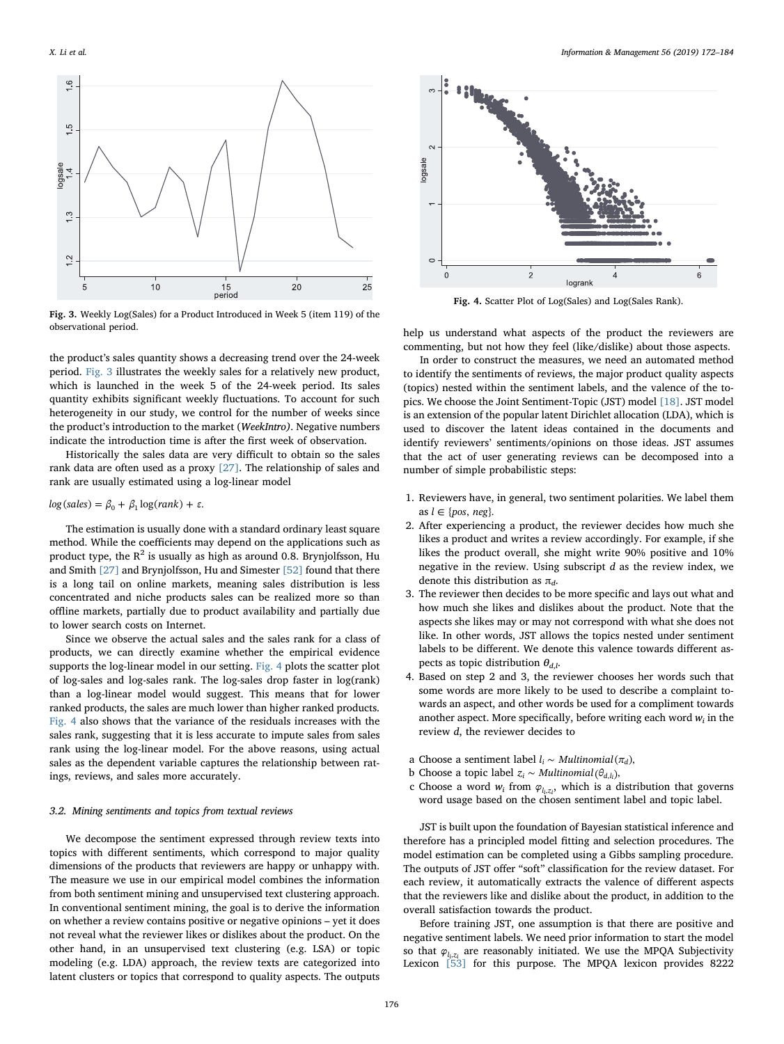<span id="page-4-0"></span>

Fig. 3. Weekly Log(Sales) for a Product Introduced in Week 5 (item 119) of the observational period.

the product's sales quantity shows a decreasing trend over the 24-week period. [Fig. 3](#page-4-0) illustrates the weekly sales for a relatively new product, which is launched in the week 5 of the 24-week period. Its sales quantity exhibits significant weekly fluctuations. To account for such heterogeneity in our study, we control for the number of weeks since the product's introduction to the market (WeekIntro). Negative numbers indicate the introduction time is after the first week of observation.

Historically the sales data are very difficult to obtain so the sales rank data are often used as a proxy [\[27\].](#page-11-18) The relationship of sales and rank are usually estimated using a log-linear model

## $log(sales) = \beta_0 + \beta_1 log(rank) + \varepsilon.$

The estimation is usually done with a standard ordinary least square method. While the coefficients may depend on the applications such as product type, the  $R^2$  is usually as high as around 0.8. Brynjolfsson, Hu and Smith [\[27\]](#page-11-18) and Brynjolfsson, Hu and Simester [\[52\]](#page-11-41) found that there is a long tail on online markets, meaning sales distribution is less concentrated and niche products sales can be realized more so than offline markets, partially due to product availability and partially due to lower search costs on Internet.

Since we observe the actual sales and the sales rank for a class of products, we can directly examine whether the empirical evidence supports the log-linear model in our setting. [Fig. 4](#page-4-1) plots the scatter plot of log-sales and log-sales rank. The log-sales drop faster in log(rank) than a log-linear model would suggest. This means that for lower ranked products, the sales are much lower than higher ranked products. [Fig. 4](#page-4-1) also shows that the variance of the residuals increases with the sales rank, suggesting that it is less accurate to impute sales from sales rank using the log-linear model. For the above reasons, using actual sales as the dependent variable captures the relationship between ratings, reviews, and sales more accurately.

## 3.2. Mining sentiments and topics from textual reviews

We decompose the sentiment expressed through review texts into topics with different sentiments, which correspond to major quality dimensions of the products that reviewers are happy or unhappy with. The measure we use in our empirical model combines the information from both sentiment mining and unsupervised text clustering approach. In conventional sentiment mining, the goal is to derive the information on whether a review contains positive or negative opinions – yet it does not reveal what the reviewer likes or dislikes about the product. On the other hand, in an unsupervised text clustering (e.g. LSA) or topic modeling (e.g. LDA) approach, the review texts are categorized into latent clusters or topics that correspond to quality aspects. The outputs

<span id="page-4-1"></span>

Fig. 4. Scatter Plot of Log(Sales) and Log(Sales Rank).

help us understand what aspects of the product the reviewers are commenting, but not how they feel (like/dislike) about those aspects.

In order to construct the measures, we need an automated method to identify the sentiments of reviews, the major product quality aspects (topics) nested within the sentiment labels, and the valence of the topics. We choose the Joint Sentiment-Topic (JST) model [\[18\].](#page-11-9) JST model is an extension of the popular latent Dirichlet allocation (LDA), which is used to discover the latent ideas contained in the documents and identify reviewers' sentiments/opinions on those ideas. JST assumes that the act of user generating reviews can be decomposed into a number of simple probabilistic steps:

- 1. Reviewers have, in general, two sentiment polarities. We label them as  $l \in \{pos, neg\}.$
- 2. After experiencing a product, the reviewer decides how much she likes a product and writes a review accordingly. For example, if she likes the product overall, she might write 90% positive and 10% negative in the review. Using subscript d as the review index, we denote this distribution as  $\pi_d$ .
- 3. The reviewer then decides to be more specific and lays out what and how much she likes and dislikes about the product. Note that the aspects she likes may or may not correspond with what she does not like. In other words, JST allows the topics nested under sentiment labels to be different. We denote this valence towards different aspects as topic distribution  $\theta_{d,l}$ .
- 4. Based on step 2 and 3, the reviewer chooses her words such that some words are more likely to be used to describe a complaint towards an aspect, and other words be used for a compliment towards another aspect. More specifically, before writing each word  $w_i$  in the review d, the reviewer decides to
- a Choose a sentiment label  $l_i \sim Multinomial(\pi_d)$ ,
- b Choose a topic label  $z_i \sim Multinomial(\theta_{d,l_i}),$
- c Choose a word  $w_i$  from  $\varphi_{l_i,z_i}$ , which is a distribution that governs word usage based on the chosen sentiment label and topic label.

JST is built upon the foundation of Bayesian statistical inference and therefore has a principled model fitting and selection procedures. The model estimation can be completed using a Gibbs sampling procedure. The outputs of JST offer "soft" classification for the review dataset. For each review, it automatically extracts the valence of different aspects that the reviewers like and dislike about the product, in addition to the overall satisfaction towards the product.

Before training JST, one assumption is that there are positive and negative sentiment labels. We need prior information to start the model so that  $\varphi_{l_1,z_i}$  are reasonably initiated. We use the MPQA Subjectivity Lexicon [\[53\]](#page-11-42) for this purpose. The MPQA lexicon provides 8222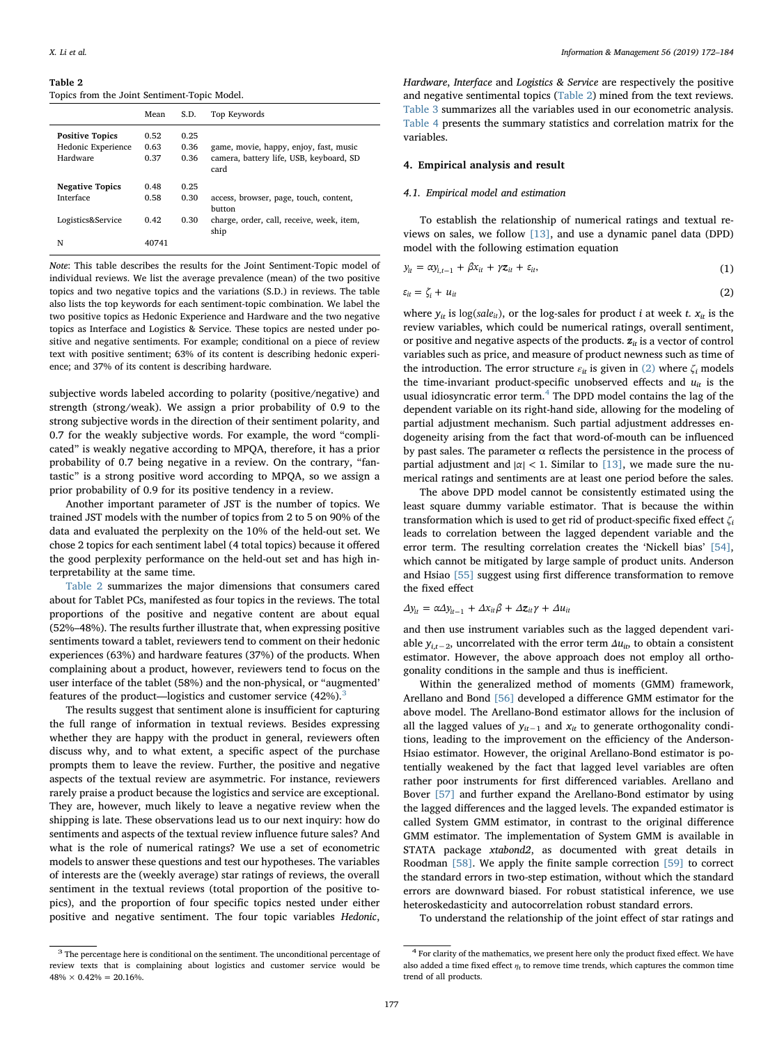<span id="page-5-1"></span>Topics from the Joint Sentiment-Topic Model.

|                                                          | Mean                 | S.D.                 | Top Keywords                                                                              |
|----------------------------------------------------------|----------------------|----------------------|-------------------------------------------------------------------------------------------|
| <b>Positive Topics</b><br>Hedonic Experience<br>Hardware | 0.52<br>0.63<br>0.37 | 0.25<br>0.36<br>0.36 | game, movie, happy, enjoy, fast, music<br>camera, battery life, USB, keyboard, SD<br>card |
| <b>Negative Topics</b>                                   | 0.48                 | 0.25                 |                                                                                           |
| Interface                                                | 0.58                 | 0.30                 | access, browser, page, touch, content,<br>button                                          |
| Logistics&Service                                        | 0.42                 | 0.30                 | charge, order, call, receive, week, item,<br>ship                                         |
| N                                                        | 40741                |                      |                                                                                           |

Note: This table describes the results for the Joint Sentiment-Topic model of individual reviews. We list the average prevalence (mean) of the two positive topics and two negative topics and the variations (S.D.) in reviews. The table also lists the top keywords for each sentiment-topic combination. We label the two positive topics as Hedonic Experience and Hardware and the two negative topics as Interface and Logistics & Service. These topics are nested under positive and negative sentiments. For example; conditional on a piece of review text with positive sentiment; 63% of its content is describing hedonic experience; and 37% of its content is describing hardware.

subjective words labeled according to polarity (positive/negative) and strength (strong/weak). We assign a prior probability of 0.9 to the strong subjective words in the direction of their sentiment polarity, and 0.7 for the weakly subjective words. For example, the word "complicated" is weakly negative according to MPQA, therefore, it has a prior probability of 0.7 being negative in a review. On the contrary, "fantastic" is a strong positive word according to MPQA, so we assign a prior probability of 0.9 for its positive tendency in a review.

Another important parameter of JST is the number of topics. We trained JST models with the number of topics from 2 to 5 on 90% of the data and evaluated the perplexity on the 10% of the held-out set. We chose 2 topics for each sentiment label (4 total topics) because it offered the good perplexity performance on the held-out set and has high interpretability at the same time.

[Table 2](#page-5-1) summarizes the major dimensions that consumers cared about for Tablet PCs, manifested as four topics in the reviews. The total proportions of the positive and negative content are about equal (52%–48%). The results further illustrate that, when expressing positive sentiments toward a tablet, reviewers tend to comment on their hedonic experiences (63%) and hardware features (37%) of the products. When complaining about a product, however, reviewers tend to focus on the user interface of the tablet (58%) and the non-physical, or "augmented' features of the product—logistics and customer service  $(42\%)$ .<sup>[3](#page-5-2)</sup>

The results suggest that sentiment alone is insufficient for capturing the full range of information in textual reviews. Besides expressing whether they are happy with the product in general, reviewers often discuss why, and to what extent, a specific aspect of the purchase prompts them to leave the review. Further, the positive and negative aspects of the textual review are asymmetric. For instance, reviewers rarely praise a product because the logistics and service are exceptional. They are, however, much likely to leave a negative review when the shipping is late. These observations lead us to our next inquiry: how do sentiments and aspects of the textual review influence future sales? And what is the role of numerical ratings? We use a set of econometric models to answer these questions and test our hypotheses. The variables of interests are the (weekly average) star ratings of reviews, the overall sentiment in the textual reviews (total proportion of the positive topics), and the proportion of four specific topics nested under either positive and negative sentiment. The four topic variables Hedonic,

Hardware, Interface and Logistics & Service are respectively the positive and negative sentimental topics ([Table 2](#page-5-1)) mined from the text reviews. [Table 3](#page-6-0) summarizes all the variables used in our econometric analysis. [Table 4](#page-6-1) presents the summary statistics and correlation matrix for the variables.

## <span id="page-5-0"></span>4. Empirical analysis and result

## 4.1. Empirical model and estimation

To establish the relationship of numerical ratings and textual reviews on sales, we follow [\[13\]](#page-11-7), and use a dynamic panel data (DPD) model with the following estimation equation

<span id="page-5-3"></span>
$$
y_{it} = \alpha y_{i,t-1} + \beta x_{it} + \gamma z_{it} + \varepsilon_{it}, \qquad (1)
$$

$$
\varepsilon_{it} = \zeta_i + u_{it} \tag{2}
$$

where  $y_{it}$  is  $log(sale_{it})$ , or the log-sales for product *i* at week *t*.  $x_{it}$  is the review variables, which could be numerical ratings, overall sentiment, or positive and negative aspects of the products.  $z_{it}$  is a vector of control variables such as price, and measure of product newness such as time of the introduction. The error structure  $\varepsilon_{it}$  is given in [\(2\)](#page-5-3) where  $\zeta_i$  models the time-invariant product-specific unobserved effects and  $u_{it}$  is the usual idiosyncratic error term. $4$  The DPD model contains the lag of the dependent variable on its right-hand side, allowing for the modeling of partial adjustment mechanism. Such partial adjustment addresses endogeneity arising from the fact that word-of-mouth can be influenced by past sales. The parameter  $\alpha$  reflects the persistence in the process of partial adjustment and  $|\alpha| < 1$ . Similar to [\[13\]](#page-11-7), we made sure the numerical ratings and sentiments are at least one period before the sales.

The above DPD model cannot be consistently estimated using the least square dummy variable estimator. That is because the within transformation which is used to get rid of product-specific fixed effect  $\zeta_i$ leads to correlation between the lagged dependent variable and the error term. The resulting correlation creates the 'Nickell bias' [\[54\]](#page-11-43), which cannot be mitigated by large sample of product units. Anderson and Hsiao [\[55\]](#page-11-44) suggest using first difference transformation to remove the fixed effect

$$
\Delta y_{it} = \alpha \Delta y_{it-1} + \Delta x_{it} \beta + \Delta z_{it} \gamma + \Delta u_{it}
$$

and then use instrument variables such as the lagged dependent variable  $y_{it-2}$ , uncorrelated with the error term  $\Delta u_{it}$ , to obtain a consistent estimator. However, the above approach does not employ all orthogonality conditions in the sample and thus is inefficient.

Within the generalized method of moments (GMM) framework, Arellano and Bond [\[56\]](#page-11-45) developed a difference GMM estimator for the above model. The Arellano-Bond estimator allows for the inclusion of all the lagged values of  $y_{it-1}$  and  $x_{it}$  to generate orthogonality conditions, leading to the improvement on the efficiency of the Anderson-Hsiao estimator. However, the original Arellano-Bond estimator is potentially weakened by the fact that lagged level variables are often rather poor instruments for first differenced variables. Arellano and Bover [\[57\]](#page-11-46) and further expand the Arellano-Bond estimator by using the lagged differences and the lagged levels. The expanded estimator is called System GMM estimator, in contrast to the original difference GMM estimator. The implementation of System GMM is available in STATA package xtabond2, as documented with great details in Roodman [\[58\]](#page-11-47). We apply the finite sample correction [\[59\]](#page-11-48) to correct the standard errors in two-step estimation, without which the standard errors are downward biased. For robust statistical inference, we use heteroskedasticity and autocorrelation robust standard errors.

To understand the relationship of the joint effect of star ratings and

<span id="page-5-2"></span><sup>&</sup>lt;sup>3</sup> The percentage here is conditional on the sentiment. The unconditional percentage of review texts that is complaining about logistics and customer service would be  $48\% \times 0.42\% = 20.16\%$ .

<span id="page-5-4"></span><sup>&</sup>lt;sup>4</sup> For clarity of the mathematics, we present here only the product fixed effect. We have also added a time fixed effect  $\eta_t$  to remove time trends, which captures the common time trend of all products.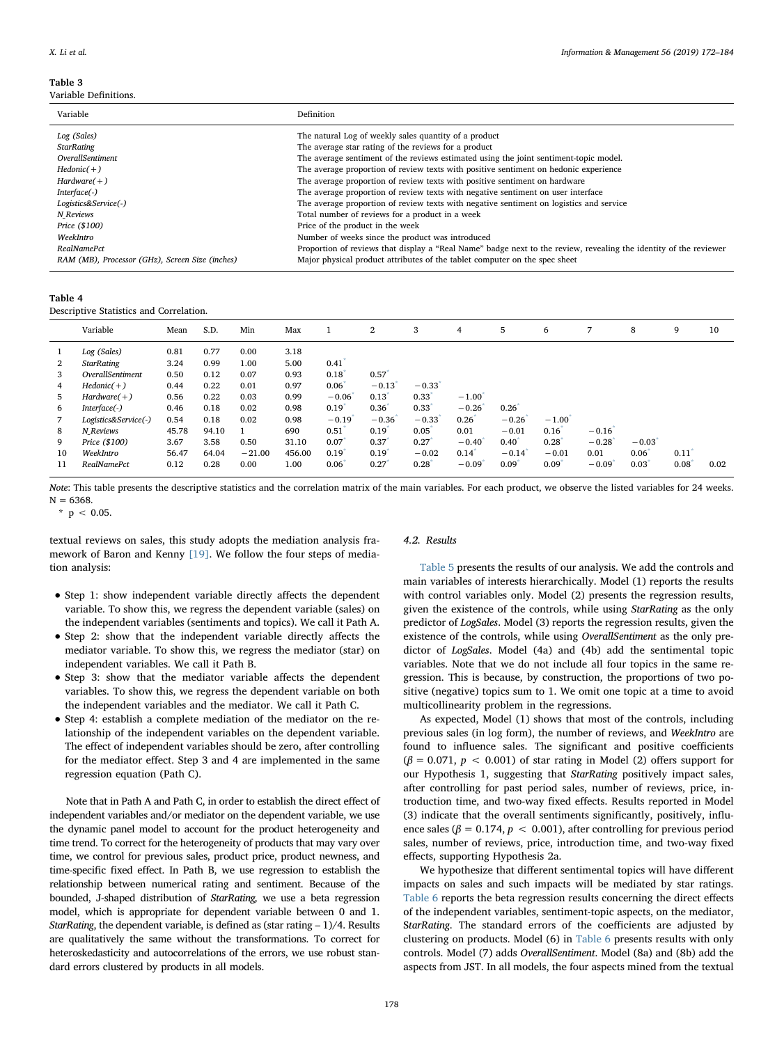<span id="page-6-0"></span>Variable Definitions.

| Variable                                        | Definition                                                                                                        |
|-------------------------------------------------|-------------------------------------------------------------------------------------------------------------------|
| Log (Sales)                                     | The natural Log of weekly sales quantity of a product                                                             |
| <b>StarRating</b>                               | The average star rating of the reviews for a product                                                              |
| <i><b>OverallSentiment</b></i>                  | The average sentiment of the reviews estimated using the joint sentiment-topic model.                             |
| $Hedonic(+)$                                    | The average proportion of review texts with positive sentiment on hedonic experience                              |
| $Hardware(+)$                                   | The average proportion of review texts with positive sentiment on hardware                                        |
| $Interface(-)$                                  | The average proportion of review texts with negative sentiment on user interface                                  |
| Logistics&Service(-)                            | The average proportion of review texts with negative sentiment on logistics and service                           |
| N Reviews                                       | Total number of reviews for a product in a week                                                                   |
| Price (\$100)                                   | Price of the product in the week                                                                                  |
| WeekIntro                                       | Number of weeks since the product was introduced                                                                  |
| RealNamePct                                     | Proportion of reviews that display a "Real Name" badge next to the review, revealing the identity of the reviewer |
| RAM (MB), Processor (GHz), Screen Size (inches) | Major physical product attributes of the tablet computer on the spec sheet                                        |

#### <span id="page-6-1"></span>Table 4

Descriptive Statistics and Correlation.

|                | Variable             | Mean  | S.D.  | Min      | Max    |                      | 2                    | 3                | 4                    | 5                | 6       |         | 8                    | 9                   | 10   |
|----------------|----------------------|-------|-------|----------|--------|----------------------|----------------------|------------------|----------------------|------------------|---------|---------|----------------------|---------------------|------|
|                | Log (Sales)          | 0.81  | 0.77  | 0.00     | 3.18   |                      |                      |                  |                      |                  |         |         |                      |                     |      |
| $\overline{2}$ | <b>StarRating</b>    | 3.24  | 0.99  | 1.00     | 5.00   | 0.41                 |                      |                  |                      |                  |         |         |                      |                     |      |
| 3              | OverallSentiment     | 0.50  | 0.12  | 0.07     | 0.93   | 0.18                 | 0.57                 |                  |                      |                  |         |         |                      |                     |      |
| 4              | $Hedonic(+)$         | 0.44  | 0.22  | 0.01     | 0.97   | $0.06^{\circ}$       | $-0.13$ <sup>*</sup> | $-0.33$          |                      |                  |         |         |                      |                     |      |
| 5              | $Hardware(+)$        | 0.56  | 0.22  | 0.03     | 0.99   | $-0.06$ <sup>*</sup> | 0.13                 | 0.33             | $-1.00^{\circ}$      |                  |         |         |                      |                     |      |
| 6              | $Interface(-)$       | 0.46  | 0.18  | 0.02     | 0.98   | 0.19                 | 0.36                 | 0.33             | $-0.26$              | 0.26             |         |         |                      |                     |      |
|                | Logistics&Service(-) | 0.54  | 0.18  | 0.02     | 0.98   | $-0.19$ <sup>*</sup> | $-0.36$              | $-0.33$          | 0.26                 | $-0.26$          | $-1.00$ |         |                      |                     |      |
| 8              | N Reviews            | 45.78 | 94.10 |          | 690    | 0.51                 | 0.19                 | $0.05^{\degree}$ | 0.01                 | $-0.01$          | 0.16    | $-0.16$ |                      |                     |      |
| 9              | Price (\$100)        | 3.67  | 3.58  | 0.50     | 31.10  | 0.07                 | 0.37                 | 0.27             | $-0.40$ <sup>*</sup> | $0.40^{*}$       | 0.28    | $-0.28$ | $-0.03$ <sup>*</sup> |                     |      |
| 10             | WeekIntro            | 56.47 | 64.04 | $-21.00$ | 456.00 | 0.19                 | 0.19                 | $-0.02$          | 0.14                 | $-0.14$          | $-0.01$ | 0.01    | $0.06^*$             | $0.11$ <sup>*</sup> |      |
| 11             | RealNamePct          | 0.12  | 0.28  | 0.00     | 1.00   | 0.06                 | 0.27                 | 0.28             | $-0.09$ <sup>*</sup> | $0.09^{\degree}$ | 0.09    | $-0.09$ | 0.03                 | $0.08^*$            | 0.02 |

Note: This table presents the descriptive statistics and the correlation matrix of the main variables. For each product, we observe the listed variables for 24 weeks.  $N = 6368$ 

<span id="page-6-2"></span> $*$  p < 0.05.

textual reviews on sales, this study adopts the mediation analysis framework of Baron and Kenny [\[19\]](#page-11-10). We follow the four steps of mediation analysis:

- Step 1: show independent variable directly affects the dependent variable. To show this, we regress the dependent variable (sales) on the independent variables (sentiments and topics). We call it Path A.
- Step 2: show that the independent variable directly affects the mediator variable. To show this, we regress the mediator (star) on independent variables. We call it Path B.
- Step 3: show that the mediator variable affects the dependent variables. To show this, we regress the dependent variable on both the independent variables and the mediator. We call it Path C.
- Step 4: establish a complete mediation of the mediator on the relationship of the independent variables on the dependent variable. The effect of independent variables should be zero, after controlling for the mediator effect. Step 3 and 4 are implemented in the same regression equation (Path C).

Note that in Path A and Path C, in order to establish the direct effect of independent variables and/or mediator on the dependent variable, we use the dynamic panel model to account for the product heterogeneity and time trend. To correct for the heterogeneity of products that may vary over time, we control for previous sales, product price, product newness, and time-specific fixed effect. In Path B, we use regression to establish the relationship between numerical rating and sentiment. Because of the bounded, J-shaped distribution of StarRating, we use a beta regression model, which is appropriate for dependent variable between 0 and 1. StarRating, the dependent variable, is defined as (star rating – 1)/4. Results are qualitatively the same without the transformations. To correct for heteroskedasticity and autocorrelations of the errors, we use robust standard errors clustered by products in all models.

#### 4.2. Results

[Table 5](#page-7-0) presents the results of our analysis. We add the controls and main variables of interests hierarchically. Model (1) reports the results with control variables only. Model (2) presents the regression results, given the existence of the controls, while using StarRating as the only predictor of LogSales. Model (3) reports the regression results, given the existence of the controls, while using OverallSentiment as the only predictor of LogSales. Model (4a) and (4b) add the sentimental topic variables. Note that we do not include all four topics in the same regression. This is because, by construction, the proportions of two positive (negative) topics sum to 1. We omit one topic at a time to avoid multicollinearity problem in the regressions.

As expected, Model (1) shows that most of the controls, including previous sales (in log form), the number of reviews, and WeekIntro are found to influence sales. The significant and positive coefficients  $(\beta = 0.071, p < 0.001)$  of star rating in Model (2) offers support for our Hypothesis 1, suggesting that StarRating positively impact sales, after controlling for past period sales, number of reviews, price, introduction time, and two-way fixed effects. Results reported in Model (3) indicate that the overall sentiments significantly, positively, influence sales ( $\beta = 0.174$ ,  $p < 0.001$ ), after controlling for previous period sales, number of reviews, price, introduction time, and two-way fixed effects, supporting Hypothesis 2a.

We hypothesize that different sentimental topics will have different impacts on sales and such impacts will be mediated by star ratings. [Table 6](#page-8-1) reports the beta regression results concerning the direct effects of the independent variables, sentiment-topic aspects, on the mediator, StarRating. The standard errors of the coefficients are adjusted by clustering on products. Model (6) in [Table 6](#page-8-1) presents results with only controls. Model (7) adds OverallSentiment. Model (8a) and (8b) add the aspects from JST. In all models, the four aspects mined from the textual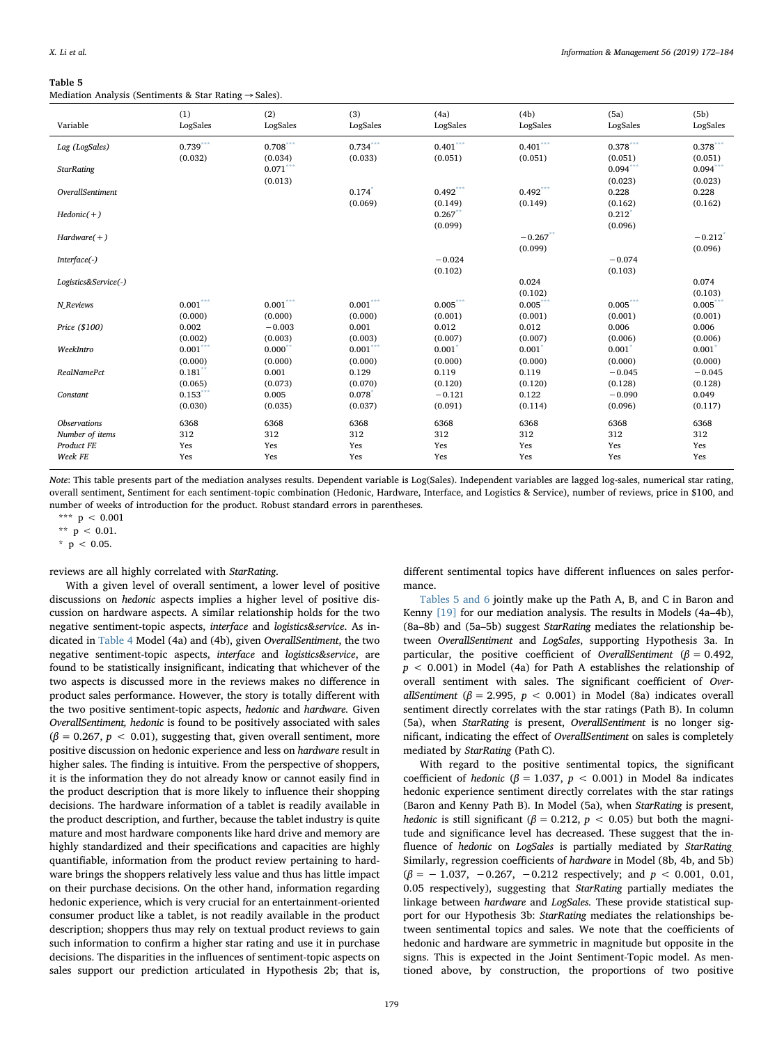<span id="page-7-0"></span>Mediation Analysis (Sentiments & Star Rating → Sales).

|                      | (1)                    | (2)                               | (3)                    | (4a)             | (4b)                 | (5a)                  | (5b)                  |
|----------------------|------------------------|-----------------------------------|------------------------|------------------|----------------------|-----------------------|-----------------------|
| Variable             | LogSales               | LogSales                          | LogSales               | LogSales         | LogSales             | LogSales              | LogSales              |
| Lag (LogSales)       | $0.739***$             | $0.708***$                        | $0.734***$             | $0.401***$       | $0.401***$           | $0.378***$            | $0.378***$            |
|                      | (0.032)                | (0.034)<br>$0.071^{\ast\ast\ast}$ | (0.033)                | (0.051)          | (0.051)              | (0.051)<br>$0.094***$ | (0.051)<br>$0.094***$ |
| <b>StarRating</b>    |                        | (0.013)                           |                        |                  |                      | (0.023)               | (0.023)               |
| OverallSentiment     |                        |                                   | 0.174                  | $0.492***$       | $0.492***$           | 0.228                 | 0.228                 |
|                      |                        |                                   | (0.069)                | (0.149)          | (0.149)              | (0.162)               | (0.162)               |
| $Hedonic(+)$         |                        |                                   |                        | 0.267            |                      | 0.212                 |                       |
|                      |                        |                                   |                        | (0.099)          |                      | (0.096)               |                       |
| $Hardware(+)$        |                        |                                   |                        |                  | $-0.267$ **          |                       | $-0.212$              |
| $Interface(-)$       |                        |                                   |                        | $-0.024$         | (0.099)              | $-0.074$              | (0.096)               |
|                      |                        |                                   |                        | (0.102)          |                      | (0.103)               |                       |
| Logistics&Service(-) |                        |                                   |                        |                  | 0.024                |                       | 0.074                 |
|                      |                        |                                   |                        |                  | (0.102)              |                       | (0.103)               |
| N Reviews            | $0.001^{\ast\ast\ast}$ | $0.001^{\ast\ast\ast}$            | $0.001^{\ast\ast\ast}$ | $0.005***$       | $0.005***$           | $0.005***$            | $0.005***$            |
|                      | (0.000)                | (0.000)                           | (0.000)                | (0.001)          | (0.001)              | (0.001)               | (0.001)               |
| Price (\$100)        | 0.002<br>(0.002)       | $-0.003$<br>(0.003)               | 0.001<br>(0.003)       | 0.012<br>(0.007) | 0.012<br>(0.007)     | 0.006<br>(0.006)      | 0.006<br>(0.006)      |
| WeekIntro            | $0.001***$             | $0.000**$                         | $0.001***$             | 0.001            | $0.001$ <sup>*</sup> | 0.001                 | $0.001*$              |
|                      | (0.000)                | (0.000)                           | (0.000)                | (0.000)          | (0.000)              | (0.000)               | (0.000)               |
| <b>RealNamePct</b>   | $0.181$ **             | 0.001                             | 0.129                  | 0.119            | 0.119                | $-0.045$              | $-0.045$              |
|                      | (0.065)                | (0.073)                           | (0.070)                | (0.120)          | (0.120)              | (0.128)               | (0.128)               |
| Constant             | $0.153***$             | 0.005                             | 0.078                  | $-0.121$         | 0.122                | $-0.090$              | 0.049                 |
|                      | (0.030)                | (0.035)                           | (0.037)                | (0.091)          | (0.114)              | (0.096)               | (0.117)               |
| <b>Observations</b>  | 6368                   | 6368                              | 6368                   | 6368             | 6368                 | 6368                  | 6368                  |
| Number of items      | 312                    | 312                               | 312                    | 312              | 312                  | 312                   | 312                   |
| Product FE           | Yes                    | Yes                               | Yes                    | Yes              | Yes                  | Yes                   | Yes                   |
| Week FE              | Yes                    | Yes                               | Yes                    | Yes              | Yes                  | Yes                   | Yes                   |

Note: This table presents part of the mediation analyses results. Dependent variable is Log(Sales). Independent variables are lagged log-sales, numerical star rating, overall sentiment, Sentiment for each sentiment-topic combination (Hedonic, Hardware, Interface, and Logistics & Service), number of reviews, price in \$100, and number of weeks of introduction for the product. Robust standard errors in parentheses.

<span id="page-7-1"></span>\*\*\*  $p < 0.001$ 

<span id="page-7-3"></span>\*\*  $p$  < 0.01.

<span id="page-7-2"></span> $*$  p < 0.05.

reviews are all highly correlated with StarRating.

With a given level of overall sentiment, a lower level of positive discussions on hedonic aspects implies a higher level of positive discussion on hardware aspects. A similar relationship holds for the two negative sentiment-topic aspects, interface and logistics&service. As indicated in [Table 4](#page-6-1) Model (4a) and (4b), given OverallSentiment, the two negative sentiment-topic aspects, interface and logistics&service, are found to be statistically insignificant, indicating that whichever of the two aspects is discussed more in the reviews makes no difference in product sales performance. However, the story is totally different with the two positive sentiment-topic aspects, hedonic and hardware. Given OverallSentiment, hedonic is found to be positively associated with sales  $(\beta = 0.267, p < 0.01)$ , suggesting that, given overall sentiment, more positive discussion on hedonic experience and less on hardware result in higher sales. The finding is intuitive. From the perspective of shoppers, it is the information they do not already know or cannot easily find in the product description that is more likely to influence their shopping decisions. The hardware information of a tablet is readily available in the product description, and further, because the tablet industry is quite mature and most hardware components like hard drive and memory are highly standardized and their specifications and capacities are highly quantifiable, information from the product review pertaining to hardware brings the shoppers relatively less value and thus has little impact on their purchase decisions. On the other hand, information regarding hedonic experience, which is very crucial for an entertainment-oriented consumer product like a tablet, is not readily available in the product description; shoppers thus may rely on textual product reviews to gain such information to confirm a higher star rating and use it in purchase decisions. The disparities in the influences of sentiment-topic aspects on sales support our prediction articulated in Hypothesis 2b; that is,

different sentimental topics have different influences on sales performance.

[Tables 5 and 6](#page-7-0) jointly make up the Path A, B, and C in Baron and Kenny [\[19\]](#page-11-10) for our mediation analysis. The results in Models (4a–4b), (8a–8b) and (5a–5b) suggest StarRating mediates the relationship between OverallSentiment and LogSales, supporting Hypothesis 3a. In particular, the positive coefficient of OverallSentiment ( $\beta = 0.492$ ,  $p < 0.001$ ) in Model (4a) for Path A establishes the relationship of overall sentiment with sales. The significant coefficient of OverallSentiment ( $\beta$  = 2.995,  $p$  < 0.001) in Model (8a) indicates overall sentiment directly correlates with the star ratings (Path B). In column (5a), when StarRating is present, OverallSentiment is no longer significant, indicating the effect of OverallSentiment on sales is completely mediated by StarRating (Path C).

With regard to the positive sentimental topics, the significant coefficient of hedonic ( $\beta = 1.037$ ,  $p < 0.001$ ) in Model 8a indicates hedonic experience sentiment directly correlates with the star ratings (Baron and Kenny Path B). In Model (5a), when StarRating is present, hedonic is still significant ( $\beta = 0.212$ ,  $p < 0.05$ ) but both the magnitude and significance level has decreased. These suggest that the influence of hedonic on LogSales is partially mediated by StarRating Similarly, regression coefficients of hardware in Model (8b, 4b, and 5b)  $(\beta = -1.037, -0.267, -0.212$  respectively; and  $p < 0.001, 0.01$ , 0.05 respectively), suggesting that StarRating partially mediates the linkage between hardware and LogSales. These provide statistical support for our Hypothesis 3b: StarRating mediates the relationships between sentimental topics and sales. We note that the coefficients of hedonic and hardware are symmetric in magnitude but opposite in the signs. This is expected in the Joint Sentiment-Topic model. As mentioned above, by construction, the proportions of two positive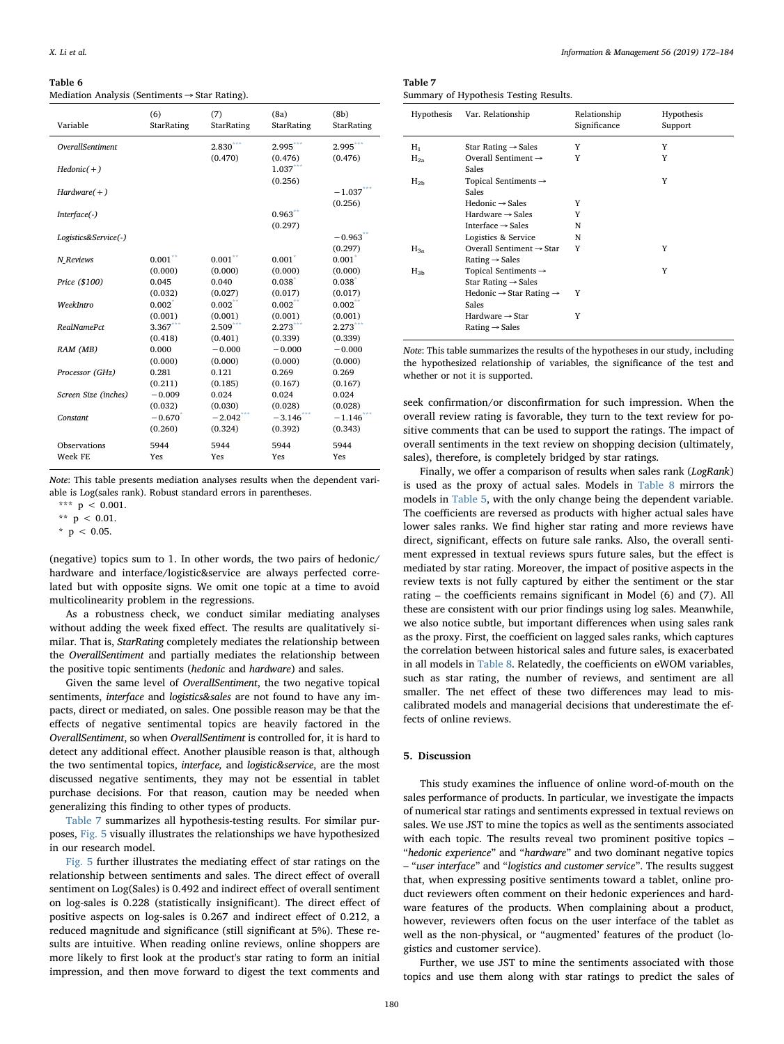<span id="page-8-1"></span>Mediation Analysis (Sentiments → Star Rating).

| Variable                | (6)                  | (7)                   | (8a)                  | (8b)                   |
|-------------------------|----------------------|-----------------------|-----------------------|------------------------|
|                         | StarRating           | StarRating            | StarRating            | StarRating             |
| <b>OverallSentiment</b> |                      | $2.830***$<br>(0.470) | $2.995***$<br>(0.476) | 2.995***<br>(0.476)    |
| $Hedonic(+)$            |                      |                       | 1.037<br>(0.256)      |                        |
| $Hardware(+)$           |                      |                       |                       | $-1.037***$<br>(0.256) |
| Interface(-)            |                      |                       | 0.963<br>(0.297)      |                        |
| Logistics&Service(-)    |                      |                       |                       | $-0.963$ **<br>(0.297) |
| N Reviews               | $0.001$ **           | $0.001$ **            | $0.001^*$             | $0.001$ <sup>*</sup>   |
|                         | (0.000)              | (0.000)               | (0.000)               | (0.000)                |
| Price (\$100)           | 0.045                | 0.040                 | $0.038*$              | $0.038^{*}$            |
| WeekIntro               | (0.032)              | (0.027)               | (0.017)               | (0.017)                |
|                         | $0.002^*$            | 0.002                 | 0.002                 | 0.002                  |
| <b>RealNamePct</b>      | (0.001)              | (0.001)               | (0.001)               | (0.001)                |
|                         | $3.367$ <sup>*</sup> | 2.509                 | 2.273                 | 2.273                  |
| RAM (MB)                | (0.418)              | (0.401)               | (0.339)               | (0.339)                |
|                         | 0.000                | $-0.000$              | $-0.000$              | $-0.000$               |
| Processor (GHz)         | (0.000)              | (0.000)               | (0.000)               | (0.000)                |
|                         | 0.281                | 0.121                 | 0.269                 | 0.269                  |
| Screen Size (inches)    | (0.211)              | (0.185)               | (0.167)               | (0.167)                |
|                         | $-0.009$             | 0.024                 | 0.024                 | 0.024                  |
| Constant                | (0.032)              | (0.030)               | (0.028)               | (0.028)                |
|                         | $-0.670^{*}$         | $-2.042$              | $-3.146$              | $-1.146$               |
|                         | (0.260)              | (0.324)               | (0.392)               | (0.343)                |
| Observations            | 5944                 | 5944                  | 5944                  | 5944                   |
| Week FE                 | Yes                  | Yes                   | Yes                   | Yes                    |

Note: This table presents mediation analyses results when the dependent variable is Log(sales rank). Robust standard errors in parentheses.

<span id="page-8-4"></span>\*\*  $p$  < 0.01.

<span id="page-8-5"></span> $*$  p < 0.05.

(negative) topics sum to 1. In other words, the two pairs of hedonic/ hardware and interface/logistic&service are always perfected correlated but with opposite signs. We omit one topic at a time to avoid multicolinearity problem in the regressions.

As a robustness check, we conduct similar mediating analyses without adding the week fixed effect. The results are qualitatively similar. That is, StarRating completely mediates the relationship between the OverallSentiment and partially mediates the relationship between the positive topic sentiments (hedonic and hardware) and sales.

Given the same level of OverallSentiment, the two negative topical sentiments, interface and logistics&sales are not found to have any impacts, direct or mediated, on sales. One possible reason may be that the effects of negative sentimental topics are heavily factored in the OverallSentiment, so when OverallSentiment is controlled for, it is hard to detect any additional effect. Another plausible reason is that, although the two sentimental topics, interface, and logistic&service, are the most discussed negative sentiments, they may not be essential in tablet purchase decisions. For that reason, caution may be needed when generalizing this finding to other types of products.

[Table 7](#page-8-2) summarizes all hypothesis-testing results. For similar purposes, [Fig. 5](#page-9-0) visually illustrates the relationships we have hypothesized in our research model.

[Fig. 5](#page-9-0) further illustrates the mediating effect of star ratings on the relationship between sentiments and sales. The direct effect of overall sentiment on Log(Sales) is 0.492 and indirect effect of overall sentiment on log-sales is 0.228 (statistically insignificant). The direct effect of positive aspects on log-sales is 0.267 and indirect effect of 0.212, a reduced magnitude and significance (still significant at 5%). These results are intuitive. When reading online reviews, online shoppers are more likely to first look at the product's star rating to form an initial impression, and then move forward to digest the text comments and

<span id="page-8-2"></span>Table 7 Summary of Hypothesis Testing Results.

| Hypothesis | Var. Relationship                                                   | Relationship<br>Significance | Hypothesis<br>Support |
|------------|---------------------------------------------------------------------|------------------------------|-----------------------|
| $H_1$      | Star Rating $\rightarrow$ Sales                                     | Y                            | Y                     |
| $H_{2a}$   | Overall Sentiment $\rightarrow$<br>Sales                            | Y                            | Y                     |
| $H_{2b}$   | Topical Sentiments $\rightarrow$<br>Sales                           |                              | Y                     |
|            | $Hedonic \rightarrow Sales$                                         | Y                            |                       |
|            | Hardware $\rightarrow$ Sales                                        | Y                            |                       |
|            | Interface $\rightarrow$ Sales                                       | N                            |                       |
|            | Logistics & Service                                                 | N                            |                       |
| $H_{3a}$   | Overall Sentiment $\rightarrow$ Star<br>Rating $\rightarrow$ Sales  | Y                            | Y                     |
| $H_{3b}$   | Topical Sentiments $\rightarrow$<br>Star Rating $\rightarrow$ Sales |                              | Y                     |
|            | Hedonic $\rightarrow$ Star Rating $\rightarrow$<br>Sales            | Y                            |                       |
|            | Hardware $\rightarrow$ Star<br>Rating $\rightarrow$ Sales           | Y                            |                       |

Note: This table summarizes the results of the hypotheses in our study, including the hypothesized relationship of variables, the significance of the test and whether or not it is supported.

seek confirmation/or disconfirmation for such impression. When the overall review rating is favorable, they turn to the text review for positive comments that can be used to support the ratings. The impact of overall sentiments in the text review on shopping decision (ultimately, sales), therefore, is completely bridged by star ratings.

Finally, we offer a comparison of results when sales rank (LogRank) is used as the proxy of actual sales. Models in [Table 8](#page-9-1) mirrors the models in [Table](#page-7-0) 5, with the only change being the dependent variable. The coefficients are reversed as products with higher actual sales have lower sales ranks. We find higher star rating and more reviews have direct, significant, effects on future sale ranks. Also, the overall sentiment expressed in textual reviews spurs future sales, but the effect is mediated by star rating. Moreover, the impact of positive aspects in the review texts is not fully captured by either the sentiment or the star rating – the coefficients remains significant in Model (6) and (7). All these are consistent with our prior findings using log sales. Meanwhile, we also notice subtle, but important differences when using sales rank as the proxy. First, the coefficient on lagged sales ranks, which captures the correlation between historical sales and future sales, is exacerbated in all models in [Table 8](#page-9-1). Relatedly, the coefficients on eWOM variables, such as star rating, the number of reviews, and sentiment are all smaller. The net effect of these two differences may lead to miscalibrated models and managerial decisions that underestimate the effects of online reviews.

### <span id="page-8-0"></span>5. Discussion

This study examines the influence of online word-of-mouth on the sales performance of products. In particular, we investigate the impacts of numerical star ratings and sentiments expressed in textual reviews on sales. We use JST to mine the topics as well as the sentiments associated with each topic. The results reveal two prominent positive topics – "hedonic experience" and "hardware" and two dominant negative topics – "user interface" and "logistics and customer service". The results suggest that, when expressing positive sentiments toward a tablet, online product reviewers often comment on their hedonic experiences and hardware features of the products. When complaining about a product, however, reviewers often focus on the user interface of the tablet as well as the non-physical, or "augmented' features of the product (logistics and customer service).

Further, we use JST to mine the sentiments associated with those topics and use them along with star ratings to predict the sales of

<span id="page-8-3"></span><sup>\*\*\*</sup>  $p < 0.001$ .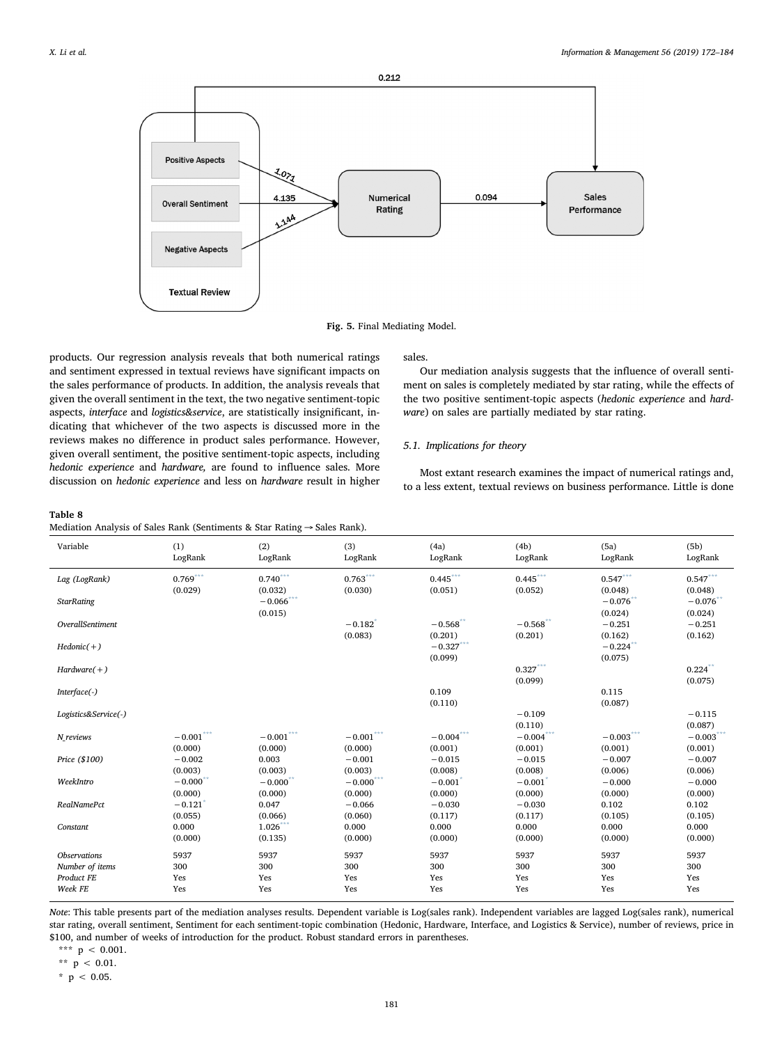<span id="page-9-0"></span>

Fig. 5. Final Mediating Model.

products. Our regression analysis reveals that both numerical ratings and sentiment expressed in textual reviews have significant impacts on the sales performance of products. In addition, the analysis reveals that given the overall sentiment in the text, the two negative sentiment-topic aspects, interface and logistics&service, are statistically insignificant, indicating that whichever of the two aspects is discussed more in the reviews makes no difference in product sales performance. However, given overall sentiment, the positive sentiment-topic aspects, including hedonic experience and hardware, are found to influence sales. More discussion on hedonic experience and less on hardware result in higher

## sales.

Our mediation analysis suggests that the influence of overall sentiment on sales is completely mediated by star rating, while the effects of the two positive sentiment-topic aspects (hedonic experience and hardware) on sales are partially mediated by star rating.

## 5.1. Implications for theory

Most extant research examines the impact of numerical ratings and, to a less extent, textual reviews on business performance. Little is done

<span id="page-9-1"></span>

|                                        | Mediation Analysis of Sales Rank (Sentiments & Star Rating $\rightarrow$ Sales Rank). |                                              |                                  |                                   |                        |                        |                        |  |  |  |
|----------------------------------------|---------------------------------------------------------------------------------------|----------------------------------------------|----------------------------------|-----------------------------------|------------------------|------------------------|------------------------|--|--|--|
| Variable                               | (1)<br>LogRank                                                                        | (2)<br>LogRank                               | (3)<br>LogRank                   | (4a)<br>LogRank                   | (4b)<br>LogRank        | (5a)<br>LogRank        | (5b)<br>LogRank        |  |  |  |
| Lag (LogRank)                          | $0.769***$<br>(0.029)                                                                 | $0.740***$<br>(0.032)                        | $0.763***$<br>(0.030)            | $0.445***$<br>(0.051)             | $0.445***$<br>(0.052)  | $0.547***$<br>(0.048)  | $0.547***$<br>(0.048)  |  |  |  |
| <b>StarRating</b>                      |                                                                                       | $-0.066$ ***<br>(0.015)                      |                                  |                                   |                        | $-0.076$ **<br>(0.024) | $-0.076*$<br>(0.024)   |  |  |  |
| OverallSentiment                       |                                                                                       |                                              | $-0.182$ <sup>*</sup><br>(0.083) | $-0.568$ <sup>**</sup><br>(0.201) | $-0.568$ **<br>(0.201) | $-0.251$<br>(0.162)    | $-0.251$<br>(0.162)    |  |  |  |
| $Hedonic(+)$                           |                                                                                       |                                              |                                  | $-0.327***$<br>(0.099)            |                        | $-0.224$ **<br>(0.075) |                        |  |  |  |
| $Hardware(+)$                          |                                                                                       |                                              |                                  |                                   | $0.327***$<br>(0.099)  |                        | $0.224$ **<br>(0.075)  |  |  |  |
| $Interface(-)$                         |                                                                                       |                                              |                                  | 0.109<br>(0.110)                  |                        | 0.115<br>(0.087)       |                        |  |  |  |
| Logistics&Service(-)                   |                                                                                       |                                              |                                  |                                   | $-0.109$<br>(0.110)    |                        | $-0.115$<br>(0.087)    |  |  |  |
| N_reviews                              | $-0.001^{***}\,$<br>(0.000)                                                           | $-0.001^{\ast\ast\ast}$<br>(0.000)           | $-0.001***$<br>(0.000)           | $-0.004***$<br>(0.001)            | $-0.004***$<br>(0.001) | $-0.003***$<br>(0.001) | $-0.003***$<br>(0.001) |  |  |  |
| Price (\$100)                          | $-0.002$<br>(0.003)                                                                   | 0.003<br>(0.003)                             | $-0.001$<br>(0.003)              | $-0.015$<br>(0.008)               | $-0.015$<br>(0.008)    | $-0.007$<br>(0.006)    | $-0.007$<br>(0.006)    |  |  |  |
| WeekIntro                              | $-0.000$ **<br>(0.000)                                                                | $-0.000$<br>(0.000)                          | $-0.000***$<br>(0.000)           | $-0.001$ <sup>*</sup><br>(0.000)  | $-0.001$<br>(0.000)    | $-0.000$<br>(0.000)    | $-0.000$<br>(0.000)    |  |  |  |
| <b>RealNamePct</b>                     | $-0.121$ <sup>'</sup><br>(0.055)                                                      | 0.047<br>(0.066)                             | $-0.066$<br>(0.060)              | $-0.030$<br>(0.117)               | $-0.030$<br>(0.117)    | 0.102<br>(0.105)       | 0.102<br>(0.105)       |  |  |  |
| Constant                               | 0.000<br>(0.000)                                                                      | $1.026\ensuremath{^{***}}\xspace$<br>(0.135) | 0.000<br>(0.000)                 | 0.000<br>(0.000)                  | 0.000<br>(0.000)       | 0.000<br>(0.000)       | 0.000<br>(0.000)       |  |  |  |
| <b>Observations</b><br>Number of items | 5937<br>300                                                                           | 5937<br>300                                  | 5937<br>300                      | 5937<br>300                       | 5937<br>300            | 5937<br>300            | 5937<br>300            |  |  |  |
| Product FE                             | Yes                                                                                   | Yes                                          | Yes                              | Yes                               | Yes                    | Yes                    | Yes                    |  |  |  |
| Week FE                                | Yes                                                                                   | Yes                                          | Yes                              | Yes                               | Yes                    | Yes                    | Yes                    |  |  |  |

Note: This table presents part of the mediation analyses results. Dependent variable is Log(sales rank). Independent variables are lagged Log(sales rank), numerical star rating, overall sentiment, Sentiment for each sentiment-topic combination (Hedonic, Hardware, Interface, and Logistics & Service), number of reviews, price in \$100, and number of weeks of introduction for the product. Robust standard errors in parentheses.

<span id="page-9-2"></span>
$$
\star\star\star\,p\,<\,0.001.
$$

<span id="page-9-3"></span>
$$
^{**}~p~<~0.01.
$$

<span id="page-9-4"></span> $*$  p < 0.05.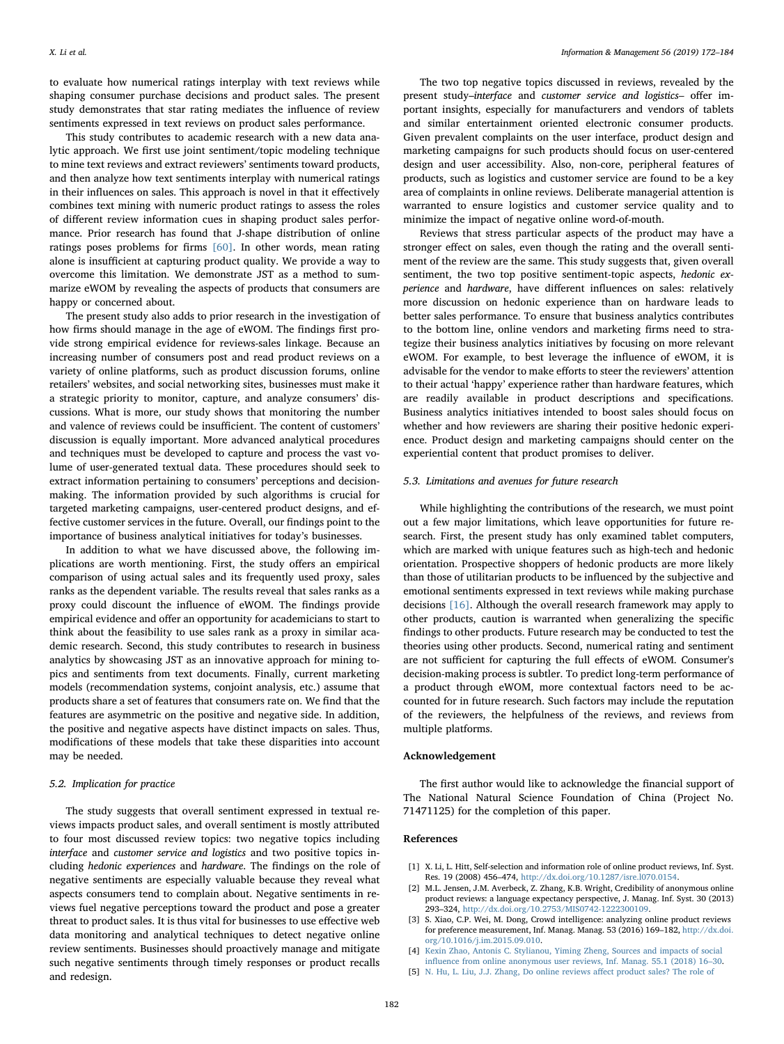to evaluate how numerical ratings interplay with text reviews while shaping consumer purchase decisions and product sales. The present study demonstrates that star rating mediates the influence of review sentiments expressed in text reviews on product sales performance.

This study contributes to academic research with a new data analytic approach. We first use joint sentiment/topic modeling technique to mine text reviews and extract reviewers' sentiments toward products, and then analyze how text sentiments interplay with numerical ratings in their influences on sales. This approach is novel in that it effectively combines text mining with numeric product ratings to assess the roles of different review information cues in shaping product sales performance. Prior research has found that J-shape distribution of online ratings poses problems for firms [\[60\].](#page-11-49) In other words, mean rating alone is insufficient at capturing product quality. We provide a way to overcome this limitation. We demonstrate JST as a method to summarize eWOM by revealing the aspects of products that consumers are happy or concerned about.

The present study also adds to prior research in the investigation of how firms should manage in the age of eWOM. The findings first provide strong empirical evidence for reviews-sales linkage. Because an increasing number of consumers post and read product reviews on a variety of online platforms, such as product discussion forums, online retailers' websites, and social networking sites, businesses must make it a strategic priority to monitor, capture, and analyze consumers' discussions. What is more, our study shows that monitoring the number and valence of reviews could be insufficient. The content of customers' discussion is equally important. More advanced analytical procedures and techniques must be developed to capture and process the vast volume of user-generated textual data. These procedures should seek to extract information pertaining to consumers' perceptions and decisionmaking. The information provided by such algorithms is crucial for targeted marketing campaigns, user-centered product designs, and effective customer services in the future. Overall, our findings point to the importance of business analytical initiatives for today's businesses.

In addition to what we have discussed above, the following implications are worth mentioning. First, the study offers an empirical comparison of using actual sales and its frequently used proxy, sales ranks as the dependent variable. The results reveal that sales ranks as a proxy could discount the influence of eWOM. The findings provide empirical evidence and offer an opportunity for academicians to start to think about the feasibility to use sales rank as a proxy in similar academic research. Second, this study contributes to research in business analytics by showcasing JST as an innovative approach for mining topics and sentiments from text documents. Finally, current marketing models (recommendation systems, conjoint analysis, etc.) assume that products share a set of features that consumers rate on. We find that the features are asymmetric on the positive and negative side. In addition, the positive and negative aspects have distinct impacts on sales. Thus, modifications of these models that take these disparities into account may be needed.

### 5.2. Implication for practice

The study suggests that overall sentiment expressed in textual reviews impacts product sales, and overall sentiment is mostly attributed to four most discussed review topics: two negative topics including interface and customer service and logistics and two positive topics including hedonic experiences and hardware. The findings on the role of negative sentiments are especially valuable because they reveal what aspects consumers tend to complain about. Negative sentiments in reviews fuel negative perceptions toward the product and pose a greater threat to product sales. It is thus vital for businesses to use effective web data monitoring and analytical techniques to detect negative online review sentiments. Businesses should proactively manage and mitigate such negative sentiments through timely responses or product recalls and redesign.

The two top negative topics discussed in reviews, revealed by the present study–interface and customer service and logistics– offer important insights, especially for manufacturers and vendors of tablets and similar entertainment oriented electronic consumer products. Given prevalent complaints on the user interface, product design and marketing campaigns for such products should focus on user-centered design and user accessibility. Also, non-core, peripheral features of products, such as logistics and customer service are found to be a key area of complaints in online reviews. Deliberate managerial attention is warranted to ensure logistics and customer service quality and to minimize the impact of negative online word-of-mouth.

Reviews that stress particular aspects of the product may have a stronger effect on sales, even though the rating and the overall sentiment of the review are the same. This study suggests that, given overall sentiment, the two top positive sentiment-topic aspects, hedonic experience and hardware, have different influences on sales: relatively more discussion on hedonic experience than on hardware leads to better sales performance. To ensure that business analytics contributes to the bottom line, online vendors and marketing firms need to strategize their business analytics initiatives by focusing on more relevant eWOM. For example, to best leverage the influence of eWOM, it is advisable for the vendor to make efforts to steer the reviewers' attention to their actual 'happy' experience rather than hardware features, which are readily available in product descriptions and specifications. Business analytics initiatives intended to boost sales should focus on whether and how reviewers are sharing their positive hedonic experience. Product design and marketing campaigns should center on the experiential content that product promises to deliver.

### 5.3. Limitations and avenues for future research

While highlighting the contributions of the research, we must point out a few major limitations, which leave opportunities for future research. First, the present study has only examined tablet computers, which are marked with unique features such as high-tech and hedonic orientation. Prospective shoppers of hedonic products are more likely than those of utilitarian products to be influenced by the subjective and emotional sentiments expressed in text reviews while making purchase decisions [\[16\]](#page-11-6). Although the overall research framework may apply to other products, caution is warranted when generalizing the specific findings to other products. Future research may be conducted to test the theories using other products. Second, numerical rating and sentiment are not sufficient for capturing the full effects of eWOM. Consumer's decision-making process is subtler. To predict long-term performance of a product through eWOM, more contextual factors need to be accounted for in future research. Such factors may include the reputation of the reviewers, the helpfulness of the reviews, and reviews from multiple platforms.

#### Acknowledgement

The first author would like to acknowledge the financial support of The National Natural Science Foundation of China (Project No. 71471125) for the completion of this paper.

## References

- <span id="page-10-0"></span>[1] X. Li, L. Hitt, Self-selection and information role of online product reviews, Inf. Syst. Res. 19 (2008) 456–474, [http://dx.doi.org/10.1287/isre.l070.0154.](http://dx.doi.org/10.1287/isre.l070.0154)
- [2] M.L. Jensen, J.M. Averbeck, Z. Zhang, K.B. Wright, Credibility of anonymous online product reviews: a language expectancy perspective, J. Manag. Inf. Syst. 30 (2013) 293–324, [http://dx.doi.org/10.2753/MIS0742-1222300109.](http://dx.doi.org/10.2753/MIS0742-1222300109)
- [3] S. Xiao, C.P. Wei, M. Dong, Crowd intelligence: analyzing online product reviews for preference measurement, Inf. Manag. Manag. 53 (2016) 169–182, [http://dx.doi.](http://dx.doi.org/10.1016/j.im.2015.09.010) [org/10.1016/j.im.2015.09.010.](http://dx.doi.org/10.1016/j.im.2015.09.010)
- <span id="page-10-1"></span>[4] [Kexin Zhao, Antonis C. Stylianou, Yiming Zheng, Sources and impacts of social](http://refhub.elsevier.com/S0378-7206(17)30459-7/sbref0020) infl[uence from online anonymous user reviews, Inf. Manag. 55.1 \(2018\) 16](http://refhub.elsevier.com/S0378-7206(17)30459-7/sbref0020)–30.
- <span id="page-10-2"></span>[5] [N. Hu, L. Liu, J.J. Zhang, Do online reviews a](http://refhub.elsevier.com/S0378-7206(17)30459-7/sbref0025)ffect product sales? The role of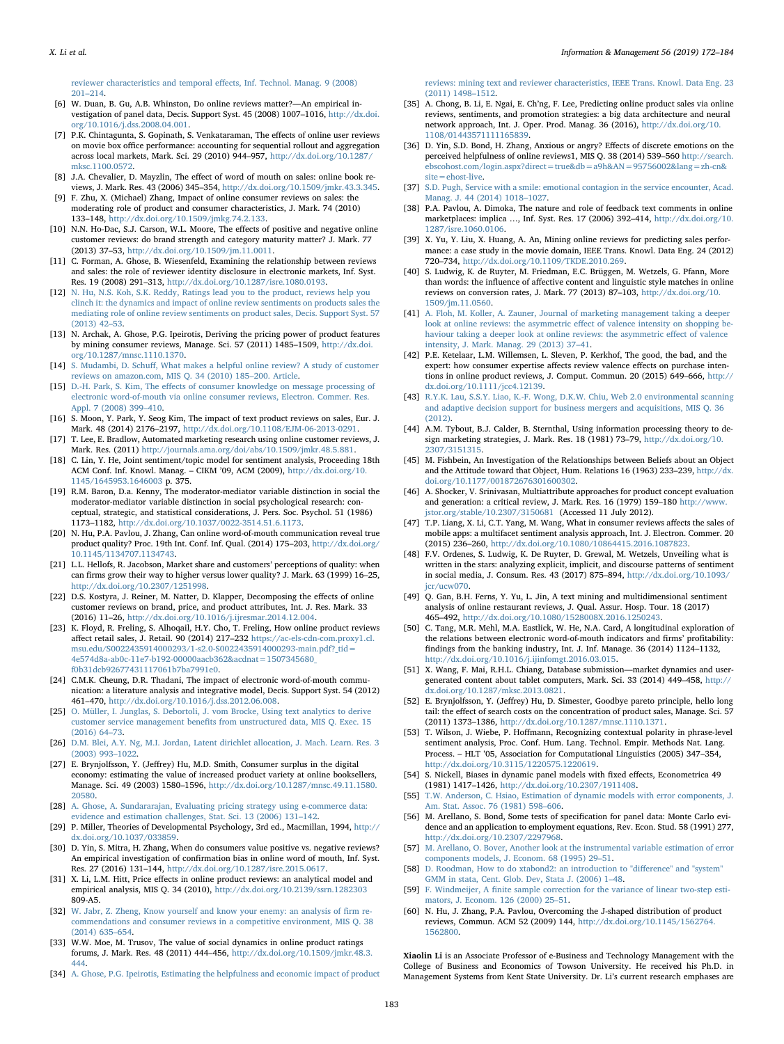[reviewer characteristics and temporal e](http://refhub.elsevier.com/S0378-7206(17)30459-7/sbref0025)ffects, Inf. Technol. Manag. 9 (2008) 201–[214.](http://refhub.elsevier.com/S0378-7206(17)30459-7/sbref0025)

- <span id="page-11-0"></span>[6] W. Duan, B. Gu, A.B. Whinston, Do online reviews matter?—An empirical investigation of panel data, Decis. Support Syst. 45 (2008) 1007–1016, [http://dx.doi.](http://dx.doi.org/10.1016/j.dss.2008.04.001) [org/10.1016/j.dss.2008.04.001.](http://dx.doi.org/10.1016/j.dss.2008.04.001)
- <span id="page-11-1"></span>[7] P.K. Chintagunta, S. Gopinath, S. Venkataraman, The effects of online user reviews on movie box office performance: accounting for sequential rollout and aggregation across local markets, Mark. Sci. 29 (2010) 944–957, [http://dx.doi.org/10.1287/](http://dx.doi.org/10.1287/mksc.1100.0572) [mksc.1100.0572.](http://dx.doi.org/10.1287/mksc.1100.0572)
- <span id="page-11-17"></span>[8] J.A. Chevalier, D. Mayzlin, The effect of word of mouth on sales: online book reviews, J. Mark. Res. 43 (2006) 345–354, [http://dx.doi.org/10.1509/jmkr.43.3.345.](http://dx.doi.org/10.1509/jmkr.43.3.345)
- <span id="page-11-11"></span>[9] F. Zhu, X. (Michael) Zhang, Impact of online consumer reviews on sales: the moderating role of product and consumer characteristics, J. Mark. 74 (2010) 133–148, [http://dx.doi.org/10.1509/jmkg.74.2.133.](http://dx.doi.org/10.1509/jmkg.74.2.133)
- <span id="page-11-2"></span>[10] N.N. Ho-Dac, S.J. Carson, W.L. Moore, The effects of positive and negative online customer reviews: do brand strength and category maturity matter? J. Mark. 77 (2013) 37–53, [http://dx.doi.org/10.1509/jm.11.0011.](http://dx.doi.org/10.1509/jm.11.0011)
- <span id="page-11-3"></span>[11] C. Forman, A. Ghose, B. Wiesenfeld, Examining the relationship between reviews and sales: the role of reviewer identity disclosure in electronic markets, Inf. Syst. Res. 19 (2008) 291–313, [http://dx.doi.org/10.1287/isre.1080.0193.](http://dx.doi.org/10.1287/isre.1080.0193)
- <span id="page-11-4"></span>[12] [N. Hu, N.S. Koh, S.K. Reddy, Ratings lead you to the product, reviews help you](http://refhub.elsevier.com/S0378-7206(17)30459-7/sbref0060) [clinch it: the dynamics and impact of online review sentiments on products sales the](http://refhub.elsevier.com/S0378-7206(17)30459-7/sbref0060) [mediating role of online review sentiments on product sales, Decis. Support Syst. 57](http://refhub.elsevier.com/S0378-7206(17)30459-7/sbref0060)  $(2013)$   $42 - 53$ .
- <span id="page-11-7"></span>[13] N. Archak, A. Ghose, P.G. Ipeirotis, Deriving the pricing power of product features by mining consumer reviews, Manage. Sci. 57 (2011) 1485–1509, [http://dx.doi.](http://dx.doi.org/10.1287/mnsc.1110.1370) [org/10.1287/mnsc.1110.1370.](http://dx.doi.org/10.1287/mnsc.1110.1370)
- <span id="page-11-5"></span>[14] S. Mudambi, D. Schuff[, What makes a helpful online review? A study of customer](http://refhub.elsevier.com/S0378-7206(17)30459-7/sbref0070) [reviews on amazon.com, MIS Q. 34 \(2010\) 185](http://refhub.elsevier.com/S0378-7206(17)30459-7/sbref0070)–200. Article.
- [15] D.-H. Park, S. Kim, The eff[ects of consumer knowledge on message processing of](http://refhub.elsevier.com/S0378-7206(17)30459-7/sbref0075) [electronic word-of-mouth via online consumer reviews, Electron. Commer. Res.](http://refhub.elsevier.com/S0378-7206(17)30459-7/sbref0075) [Appl. 7 \(2008\) 399](http://refhub.elsevier.com/S0378-7206(17)30459-7/sbref0075)–410.
- <span id="page-11-6"></span>[16] S. Moon, Y. Park, Y. Seog Kim, The impact of text product reviews on sales, Eur. J. Mark. 48 (2014) 2176–2197, [http://dx.doi.org/10.1108/EJM-06-2013-0291.](http://dx.doi.org/10.1108/EJM-06-2013-0291)
- <span id="page-11-8"></span>[17] T. Lee, E. Bradlow, Automated marketing research using online customer reviews, J. Mark. Res. (2011) <http://journals.ama.org/doi/abs/10.1509/jmkr.48.5.881>.
- <span id="page-11-9"></span>[18] C. Lin, Y. He, Joint sentiment/topic model for sentiment analysis, Proceeding 18th ACM Conf. Inf. Knowl. Manag. – CIKM '09, ACM (2009), [http://dx.doi.org/10.](http://dx.doi.org/10.1145/1645953.1646003) [1145/1645953.1646003](http://dx.doi.org/10.1145/1645953.1646003) p. 375.
- <span id="page-11-10"></span>[19] R.M. Baron, D.a. Kenny, The moderator-mediator variable distinction in social the moderator-mediator variable distinction in social psychological research: conceptual, strategic, and statistical considerations, J. Pers. Soc. Psychol. 51 (1986) 1173–1182, [http://dx.doi.org/10.1037/0022-3514.51.6.1173.](http://dx.doi.org/10.1037/0022-3514.51.6.1173)
- <span id="page-11-25"></span>[20] N. Hu, P.A. Pavlou, J. Zhang, Can online word-of-mouth communication reveal true product quality? Proc. 19th Int. Conf. Inf. Qual. (2014) 175–203, [http://dx.doi.org/](http://dx.doi.org/10.1145/1134707.1134743) [10.1145/1134707.1134743.](http://dx.doi.org/10.1145/1134707.1134743)
- <span id="page-11-12"></span>[21] L.L. Hellofs, R. Jacobson, Market share and customers' perceptions of quality: when can firms grow their way to higher versus lower quality? J. Mark. 63 (1999) 16–25, [http://dx.doi.org/10.2307/1251998.](http://dx.doi.org/10.2307/1251998)
- <span id="page-11-13"></span>[22] D.S. Kostyra, J. Reiner, M. Natter, D. Klapper, Decomposing the effects of online customer reviews on brand, price, and product attributes, Int. J. Res. Mark. 33 (2016) 11–26, [http://dx.doi.org/10.1016/j.ijresmar.2014.12.004.](http://dx.doi.org/10.1016/j.ijresmar.2014.12.004)
- <span id="page-11-14"></span>[23] K. Floyd, R. Freling, S. Alhoqail, H.Y. Cho, T. Freling, How online product reviews affect retail sales, J. Retail. 90 (2014) 217–232 [https://ac-els-cdn-com.proxy1.cl.](https://ac-els-cdn-com.proxy1.cl.msu.edu/S0022435914000293/1-s2.0-S0022435914000293-main.pdf?_tid=4e574d8a-ab0c-11e7-b192-00000aacb362%26acdnat=1507345680_f0b31dcb92677431117061b7ba7991e0)<br>[msu.edu/S0022435914000293/1-s2.0-S0022435914000293-main.pdf?\\_tid=](https://ac-els-cdn-com.proxy1.cl.msu.edu/S0022435914000293/1-s2.0-S0022435914000293-main.pdf?_tid=4e574d8a-ab0c-11e7-b192-00000aacb362%26acdnat=1507345680_f0b31dcb92677431117061b7ba7991e0) [4e574d8a-ab0c-11e7-b192-00000aacb362&acdnat=1507345680\\_](https://ac-els-cdn-com.proxy1.cl.msu.edu/S0022435914000293/1-s2.0-S0022435914000293-main.pdf?_tid=4e574d8a-ab0c-11e7-b192-00000aacb362%26acdnat=1507345680_f0b31dcb92677431117061b7ba7991e0) [f0b31dcb92677431117061b7ba7991e0.](https://ac-els-cdn-com.proxy1.cl.msu.edu/S0022435914000293/1-s2.0-S0022435914000293-main.pdf?_tid=4e574d8a-ab0c-11e7-b192-00000aacb362%26acdnat=1507345680_f0b31dcb92677431117061b7ba7991e0)
- <span id="page-11-15"></span>[24] C.M.K. Cheung, D.R. Thadani, The impact of electronic word-of-mouth communication: a literature analysis and integrative model, Decis. Support Syst. 54 (2012) 461–470, [http://dx.doi.org/10.1016/j.dss.2012.06.008.](http://dx.doi.org/10.1016/j.dss.2012.06.008)
- [25] [O. Müller, I. Junglas, S. Debortoli, J. vom Brocke, Using text analytics to derive](http://refhub.elsevier.com/S0378-7206(17)30459-7/sbref0125) customer service management benefi[ts from unstructured data, MIS Q. Exec. 15](http://refhub.elsevier.com/S0378-7206(17)30459-7/sbref0125) [\(2016\) 64](http://refhub.elsevier.com/S0378-7206(17)30459-7/sbref0125)–73.
- <span id="page-11-16"></span>[26] [D.M. Blei, A.Y. Ng, M.I. Jordan, Latent dirichlet allocation, J. Mach. Learn. Res. 3](http://refhub.elsevier.com/S0378-7206(17)30459-7/sbref0130) [\(2003\) 993](http://refhub.elsevier.com/S0378-7206(17)30459-7/sbref0130)–1022.
- <span id="page-11-18"></span>[27] E. Brynjolfsson, Y. (Jeffrey) Hu, M.D. Smith, Consumer surplus in the digital economy: estimating the value of increased product variety at online booksellers, Manage. Sci. 49 (2003) 1580–1596, [http://dx.doi.org/10.1287/mnsc.49.11.1580.](http://dx.doi.org/10.1287/mnsc.49.11.1580.20580) [20580.](http://dx.doi.org/10.1287/mnsc.49.11.1580.20580)
- <span id="page-11-19"></span>[28] [A. Ghose, A. Sundararajan, Evaluating pricing strategy using e-commerce data:](http://refhub.elsevier.com/S0378-7206(17)30459-7/sbref0140) [evidence and estimation challenges, Stat. Sci. 13 \(2006\) 131](http://refhub.elsevier.com/S0378-7206(17)30459-7/sbref0140)–142.
- <span id="page-11-20"></span>[29] P. Miller, Theories of Developmental Psychology, 3rd ed., Macmillan, 1994, [http://](http://dx.doi.org/10.1037/033859) [dx.doi.org/10.1037/033859.](http://dx.doi.org/10.1037/033859)
- <span id="page-11-21"></span>[30] D. Yin, S. Mitra, H. Zhang, When do consumers value positive vs. negative reviews? An empirical investigation of confirmation bias in online word of mouth, Inf. Syst. Res. 27 (2016) 131–144, [http://dx.doi.org/10.1287/isre.2015.0617.](http://dx.doi.org/10.1287/isre.2015.0617)
- <span id="page-11-22"></span>[31] X. Li, L.M. Hitt, Price effects in online product reviews: an analytical model and empirical analysis, MIS Q. 34 (2010), <http://dx.doi.org/10.2139/ssrn.1282303> [809-A5.](http://dx.doi.org/10.2139/ssrn.1282303)
- <span id="page-11-23"></span>[32] [W. Jabr, Z. Zheng, Know yourself and know your enemy: an analysis of](http://refhub.elsevier.com/S0378-7206(17)30459-7/sbref0160) firm re[commendations and consumer reviews in a competitive environment, MIS Q. 38](http://refhub.elsevier.com/S0378-7206(17)30459-7/sbref0160) [\(2014\) 635](http://refhub.elsevier.com/S0378-7206(17)30459-7/sbref0160)–654.
- <span id="page-11-24"></span>[33] W.W. Moe, M. Trusov, The value of social dynamics in online product ratings forums, J. Mark. Res. 48 (2011) 444–456, [http://dx.doi.org/10.1509/jmkr.48.3.](http://dx.doi.org/10.1509/jmkr.48.3.444) [444.](http://dx.doi.org/10.1509/jmkr.48.3.444)
- <span id="page-11-26"></span>[34] [A. Ghose, P.G. Ipeirotis, Estimating the helpfulness and economic impact of product](http://refhub.elsevier.com/S0378-7206(17)30459-7/sbref0170)

[reviews: mining text and reviewer characteristics, IEEE Trans. Knowl. Data Eng. 23](http://refhub.elsevier.com/S0378-7206(17)30459-7/sbref0170) [\(2011\) 1498](http://refhub.elsevier.com/S0378-7206(17)30459-7/sbref0170)–1512.

- <span id="page-11-27"></span>[35] A. Chong, B. Li, E. Ngai, E. Ch'ng, F. Lee, Predicting online product sales via online reviews, sentiments, and promotion strategies: a big data architecture and neural network approach, Int. J. Oper. Prod. Manag. 36 (2016), [http://dx.doi.org/10.](http://dx.doi.org/10.1108/01443571111165839) [1108/01443571111165839.](http://dx.doi.org/10.1108/01443571111165839)
- [36] D. Yin, S.D. Bond, H. Zhang, Anxious or angry? Effects of discrete emotions on the perceived helpfulness of online reviews1, MIS Q. 38 (2014) 539–560 [http://search.](http://search.ebscohost.com/login.aspx?direct=true%26db=a9h%26AN=95756002%26lang=zh-cn%26site=ehost-live) [ebscohost.com/login.aspx?direct=true&db=a9h&AN=95756002&lang=zh-cn&](http://search.ebscohost.com/login.aspx?direct=true%26db=a9h%26AN=95756002%26lang=zh-cn%26site=ehost-live) [site=ehost-live.](http://search.ebscohost.com/login.aspx?direct=true%26db=a9h%26AN=95756002%26lang=zh-cn%26site=ehost-live)
- <span id="page-11-28"></span>[37] [S.D. Pugh, Service with a smile: emotional contagion in the service encounter, Acad.](http://refhub.elsevier.com/S0378-7206(17)30459-7/sbref0185) [Manag. J. 44 \(2014\) 1018](http://refhub.elsevier.com/S0378-7206(17)30459-7/sbref0185)–1027.
- <span id="page-11-29"></span>[38] P.A. Pavlou, A. Dimoka, The nature and role of feedback text comments in online marketplaces: implica …, Inf. Syst. Res. 17 (2006) 392–414, [http://dx.doi.org/10.](http://dx.doi.org/10.1287/isre.1060.0106) [1287/isre.1060.0106.](http://dx.doi.org/10.1287/isre.1060.0106)
- <span id="page-11-30"></span>[39] X. Yu, Y. Liu, X. Huang, A. An, Mining online reviews for predicting sales performance: a case study in the movie domain, IEEE Trans. Knowl. Data Eng. 24 (2012) 720–734, [http://dx.doi.org/10.1109/TKDE.2010.269.](http://dx.doi.org/10.1109/TKDE.2010.269)
- <span id="page-11-31"></span>[40] S. Ludwig, K. de Ruyter, M. Friedman, E.C. Brüggen, M. Wetzels, G. Pfann, More than words: the influence of affective content and linguistic style matches in online reviews on conversion rates, J. Mark. 77 (2013) 87–103, [http://dx.doi.org/10.](http://dx.doi.org/10.1509/jm.11.0560) [1509/jm.11.0560.](http://dx.doi.org/10.1509/jm.11.0560)
- <span id="page-11-32"></span>[41] [A. Floh, M. Koller, A. Zauner, Journal of marketing management taking a deeper](http://refhub.elsevier.com/S0378-7206(17)30459-7/sbref0205) [look at online reviews: the asymmetric e](http://refhub.elsevier.com/S0378-7206(17)30459-7/sbref0205)ffect of valence intensity on shopping be[haviour taking a deeper look at online reviews: the asymmetric e](http://refhub.elsevier.com/S0378-7206(17)30459-7/sbref0205)ffect of valence [intensity, J. Mark. Manag. 29 \(2013\) 37](http://refhub.elsevier.com/S0378-7206(17)30459-7/sbref0205)–41.
- <span id="page-11-33"></span>[42] P.E. Ketelaar, L.M. Willemsen, L. Sleven, P. Kerkhof, The good, the bad, and the expert: how consumer expertise affects review valence effects on purchase intentions in online product reviews, J. Comput. Commun. 20 (2015) 649–666, [http://](http://dx.doi.org/10.1111/jcc4.12139) [dx.doi.org/10.1111/jcc4.12139.](http://dx.doi.org/10.1111/jcc4.12139)
- [43] R.Y.K. [Lau, S.S.Y. Liao, K.-F. Wong, D.K.W. Chiu, Web 2.0 environmental scanning](http://refhub.elsevier.com/S0378-7206(17)30459-7/sbref0215) [and adaptive decision support for business mergers and acquisitions, MIS Q. 36](http://refhub.elsevier.com/S0378-7206(17)30459-7/sbref0215) [\(2012\).](http://refhub.elsevier.com/S0378-7206(17)30459-7/sbref0215)
- <span id="page-11-34"></span>[44] A.M. Tybout, B.J. Calder, B. Sternthal, Using information processing theory to design marketing strategies, J. Mark. Res. 18 (1981) 73–79, [http://dx.doi.org/10.](http://dx.doi.org/10.2307/3151315) [2307/3151315.](http://dx.doi.org/10.2307/3151315)
- <span id="page-11-35"></span>[45] M. Fishbein, An Investigation of the Relationships between Beliefs about an Object and the Attitude toward that Object, Hum. Relations 16 (1963) 233–239, [http://dx.](http://dx.doi.org/10.1177/001872676301600302) [doi.org/10.1177/001872676301600302.](http://dx.doi.org/10.1177/001872676301600302)
- [46] A. Shocker, V. Srinivasan, Multiattribute approaches for product concept evaluation and generation: a critical review, J. Mark. Res. 16 (1979) 159–180 [http://www.](http://www.jstor.org/stable/10.2307/3150681) [jstor.org/stable/10.2307/3150681](http://www.jstor.org/stable/10.2307/3150681) (Accessed 11 July 2012).
- <span id="page-11-36"></span>[47] T.P. Liang, X. Li, C.T. Yang, M. Wang, What in consumer reviews affects the sales of mobile apps: a multifacet sentiment analysis approach, Int. J. Electron. Commer. 20 (2015) 236–260, [http://dx.doi.org/10.1080/10864415.2016.1087823.](http://dx.doi.org/10.1080/10864415.2016.1087823)
- <span id="page-11-37"></span>[48] F.V. Ordenes, S. Ludwig, K. De Ruyter, D. Grewal, M. Wetzels, Unveiling what is written in the stars: analyzing explicit, implicit, and discourse patterns of sentiment in social media, J. Consum. Res. 43 (2017) 875–894, [http://dx.doi.org/10.1093/](http://dx.doi.org/10.1093/jcr/ucw070) [jcr/ucw070.](http://dx.doi.org/10.1093/jcr/ucw070)
- <span id="page-11-38"></span>[49] Q. Gan, B.H. Ferns, Y. Yu, L. Jin, A text mining and multidimensional sentiment analysis of online restaurant reviews, J. Qual. Assur. Hosp. Tour. 18 (2017) 465–492, [http://dx.doi.org/10.1080/1528008X.2016.1250243.](http://dx.doi.org/10.1080/1528008X.2016.1250243)
- <span id="page-11-39"></span>[50] C. Tang, M.R. Mehl, M.A. Eastlick, W. He, N.A. Card, A longitudinal exploration of the relations between electronic word-of-mouth indicators and firms' profitability: findings from the banking industry, Int. J. Inf. Manage. 36 (2014) 1124–1132, [http://dx.doi.org/10.1016/j.ijinfomgt.2016.03.015.](http://dx.doi.org/10.1016/j.ijinfomgt.2016.03.015)
- <span id="page-11-40"></span>[51] X. Wang, F. Mai, R.H.L. Chiang, Database submission—market dynamics and usergenerated content about tablet computers, Mark. Sci. 33 (2014) 449–458, [http://](http://dx.doi.org/10.1287/mksc.2013.0821) [dx.doi.org/10.1287/mksc.2013.0821.](http://dx.doi.org/10.1287/mksc.2013.0821)
- <span id="page-11-41"></span>[52] E. Brynjolfsson, Y. (Jeffrey) Hu, D. Simester, Goodbye pareto principle, hello long tail: the effect of search costs on the concentration of product sales, Manage. Sci. 57 (2011) 1373–1386, [http://dx.doi.org/10.1287/mnsc.1110.1371.](http://dx.doi.org/10.1287/mnsc.1110.1371)
- <span id="page-11-42"></span>[53] T. Wilson, J. Wiebe, P. Hoffmann, Recognizing contextual polarity in phrase-level sentiment analysis, Proc. Conf. Hum. Lang. Technol. Empir. Methods Nat. Lang. Process. – HLT '05, Association for Computational Linguistics (2005) 347–354, [http://dx.doi.org/10.3115/1220575.1220619.](http://dx.doi.org/10.3115/1220575.1220619)
- <span id="page-11-43"></span>[54] S. Nickell, Biases in dynamic panel models with fixed effects, Econometrica 49 (1981) 1417–1426, [http://dx.doi.org/10.2307/1911408.](http://dx.doi.org/10.2307/1911408)
- <span id="page-11-44"></span>[55] [T.W. Anderson, C. Hsiao, Estimation of dynamic models with error components, J.](http://refhub.elsevier.com/S0378-7206(17)30459-7/sbref0275) [Am. Stat. Assoc. 76 \(1981\) 598](http://refhub.elsevier.com/S0378-7206(17)30459-7/sbref0275)–606.
- <span id="page-11-45"></span>[56] M. Arellano, S. Bond, Some tests of specification for panel data: Monte Carlo evidence and an application to employment equations, Rev. Econ. Stud. 58 (1991) 277, [http://dx.doi.org/10.2307/2297968.](http://dx.doi.org/10.2307/2297968)
- <span id="page-11-46"></span>[57] [M. Arellano, O. Bover, Another look at the instrumental variable estimation of error](http://refhub.elsevier.com/S0378-7206(17)30459-7/sbref0285) [components models, J. Econom. 68 \(1995\) 29](http://refhub.elsevier.com/S0378-7206(17)30459-7/sbref0285)–51.
- <span id="page-11-47"></span>[58] [D. Roodman, How to do xtabond2: an introduction to "di](http://refhub.elsevier.com/S0378-7206(17)30459-7/sbref0290)fference" and "system" [GMM in stata, Cent. Glob. Dev, Stata J. \(2006\) 1](http://refhub.elsevier.com/S0378-7206(17)30459-7/sbref0290)–48.
- <span id="page-11-48"></span>[59] F. Windmeijer, A fi[nite sample correction for the variance of linear two-step esti](http://refhub.elsevier.com/S0378-7206(17)30459-7/sbref0295)[mators, J. Econom. 126 \(2000\) 25](http://refhub.elsevier.com/S0378-7206(17)30459-7/sbref0295)–51.
- <span id="page-11-49"></span>[60] N. Hu, J. Zhang, P.A. Pavlou, Overcoming the J-shaped distribution of product reviews, Commun. ACM 52 (2009) 144, [http://dx.doi.org/10.1145/1562764.](http://dx.doi.org/10.1145/1562764.1562800) [1562800.](http://dx.doi.org/10.1145/1562764.1562800)

Xiaolin Li is an Associate Professor of e-Business and Technology Management with the College of Business and Economics of Towson University. He received his Ph.D. in Management Systems from Kent State University. Dr. Li's current research emphases are